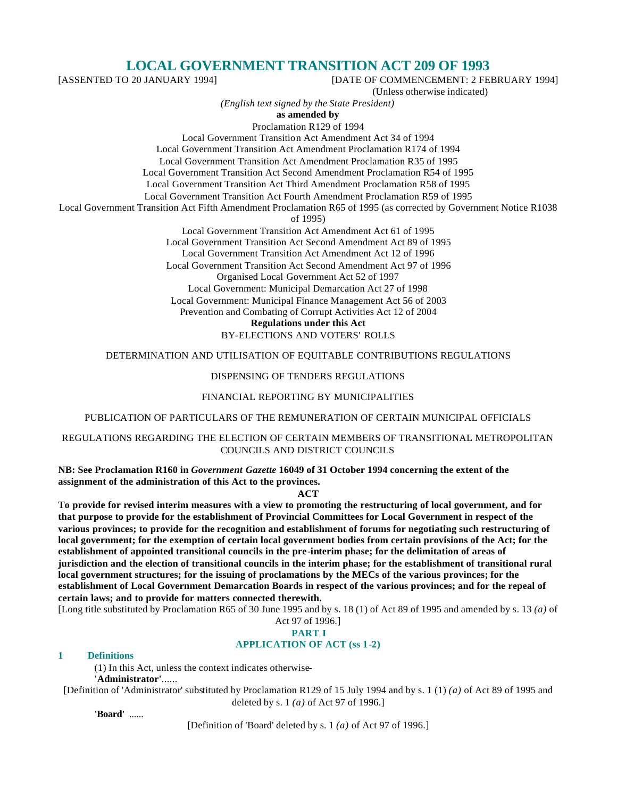# **LOCAL GOVERNMENT TRANSITION ACT 209 OF 1993**

[ASSENTED TO 20 JANUARY 1994] [DATE OF COMMENCEMENT: 2 FEBRUARY 1994]

(Unless otherwise indicated)

*(English text signed by the State President)*

**as amended by**

Proclamation R129 of 1994

Local Government Transition Act Amendment Act 34 of 1994

Local Government Transition Act Amendment Proclamation R174 of 1994

Local Government Transition Act Amendment Proclamation R35 of 1995

Local Government Transition Act Second Amendment Proclamation R54 of 1995 Local Government Transition Act Third Amendment Proclamation R58 of 1995

Local Government Transition Act Fourth Amendment Proclamation R59 of 1995

Local Government Transition Act Fifth Amendment Proclamation R65 of 1995 (as corrected by Government Notice R1038

of 1995)

Local Government Transition Act Amendment Act 61 of 1995 Local Government Transition Act Second Amendment Act 89 of 1995 Local Government Transition Act Amendment Act 12 of 1996 Local Government Transition Act Second Amendment Act 97 of 1996 Organised Local Government Act 52 of 1997 Local Government: Municipal Demarcation Act 27 of 1998 Local Government: Municipal Finance Management Act 56 of 2003 Prevention and Combating of Corrupt Activities Act 12 of 2004 **Regulations under this Act**

BY-ELECTIONS AND VOTERS' ROLLS

DETERMINATION AND UTILISATION OF EQUITABLE CONTRIBUTIONS REGULATIONS

### DISPENSING OF TENDERS REGULATIONS

FINANCIAL REPORTING BY MUNICIPALITIES

PUBLICATION OF PARTICULARS OF THE REMUNERATION OF CERTAIN MUNICIPAL OFFICIALS

REGULATIONS REGARDING THE ELECTION OF CERTAIN MEMBERS OF TRANSITIONAL METROPOLITAN COUNCILS AND DISTRICT COUNCILS

**NB: See Proclamation R160 in** *Government Gazette* **16049 of 31 October 1994 concerning the extent of the assignment of the administration of this Act to the provinces.**

#### **ACT**

**To provide for revised interim measures with a view to promoting the restructuring of local government, and for that purpose to provide for the establishment of Provincial Committees for Local Government in respect of the various provinces; to provide for the recognition and establishment of forums for negotiating such restructuring of local government; for the exemption of certain local government bodies from certain provisions of the Act; for the establishment of appointed transitional councils in the pre-interim phase; for the delimitation of areas of jurisdiction and the election of transitional councils in the interim phase; for the establishment of transitional rural local government structures; for the issuing of proclamations by the MECs of the various provinces; for the establishment of Local Government Demarcation Boards in respect of the various provinces; and for the repeal of certain laws; and to provide for matters connected therewith.**

[Long title substituted by Proclamation R65 of 30 June 1995 and by s. 18 (1) of Act 89 of 1995 and amended by s. 13 *(a)* of Act 97 of 1996.]

# **PART I**

# **APPLICATION OF ACT (ss 1-2)**

# **1 Definitions**

(1) In this Act, unless the context indicates otherwise-

#### **'Administrator'**......

[Definition of 'Administrator' substituted by Proclamation R129 of 15 July 1994 and by s. 1 (1) *(a)* of Act 89 of 1995 and deleted by s. 1 *(a)* of Act 97 of 1996.]

**'Board'** ......

[Definition of 'Board' deleted by s. 1 *(a)* of Act 97 of 1996.]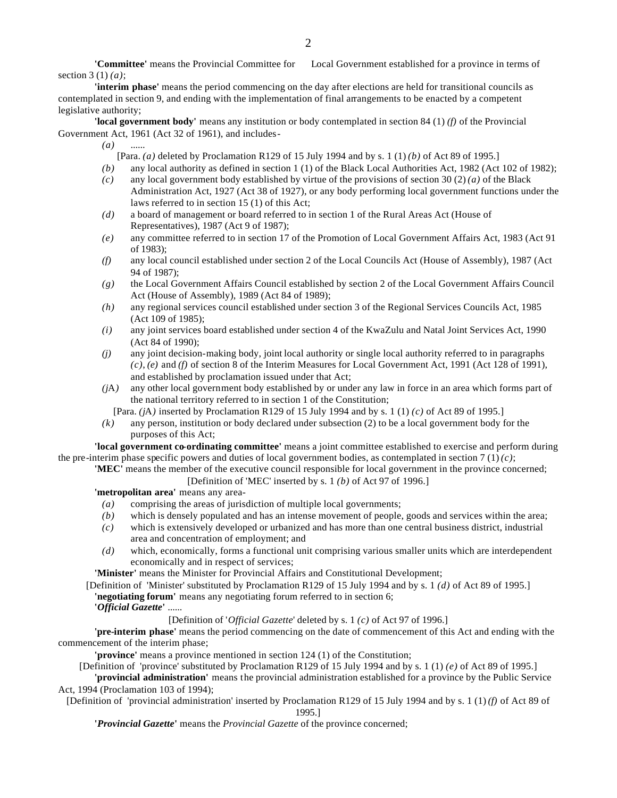**'Committee'** means the Provincial Committee for Local Government established for a province in terms of section 3 (1) *(a)*;

**'interim phase'** means the period commencing on the day after elections are held for transitional councils as contemplated in section 9, and ending with the implementation of final arrangements to be enacted by a competent legislative authority;

**'local government body'** means any institution or body contemplated in section 84 (1) *(f)* of the Provincial Government Act, 1961 (Act 32 of 1961), and includes-

*(a)* ......

[Para. *(a)* deleted by Proclamation R129 of 15 July 1994 and by s. 1 (1) *(b)* of Act 89 of 1995.]

- *(b)* any local authority as defined in section 1 (1) of the Black Local Authorities Act, 1982 (Act 102 of 1982);
- *(c)* any local government body established by virtue of the provisions of section 30 (2) *(a)* of the Black Administration Act, 1927 (Act 38 of 1927), or any body performing local government functions under the laws referred to in section 15 (1) of this Act;
- *(d)* a board of management or board referred to in section 1 of the Rural Areas Act (House of Representatives), 1987 (Act 9 of 1987);
- *(e)* any committee referred to in section 17 of the Promotion of Local Government Affairs Act, 1983 (Act 91 of 1983);
- *(f)* any local council established under section 2 of the Local Councils Act (House of Assembly), 1987 (Act 94 of 1987);
- *(g)* the Local Government Affairs Council established by section 2 of the Local Government Affairs Council Act (House of Assembly), 1989 (Act 84 of 1989);
- *(h)* any regional services council established under section 3 of the Regional Services Councils Act, 1985 (Act 109 of 1985);
- *(i)* any joint services board established under section 4 of the KwaZulu and Natal Joint Services Act, 1990 (Act 84 of 1990);
- *(j)* any joint decision-making body, joint local authority or single local authority referred to in paragraphs *(c)*, *(e)* and *(f)* of section 8 of the Interim Measures for Local Government Act, 1991 (Act 128 of 1991), and established by proclamation issued under that Act;
- *(j*A*)* any other local government body established by or under any law in force in an area which forms part of the national territory referred to in section 1 of the Constitution;
	- [Para. *(j*A*)* inserted by Proclamation R129 of 15 July 1994 and by s. 1 (1) *(c)* of Act 89 of 1995.]
- *(k)* any person, institution or body declared under subsection (2) to be a local government body for the purposes of this Act;

**'local government co-ordinating committee'** means a joint committee established to exercise and perform during the pre-interim phase specific powers and duties of local government bodies, as contemplated in section 7 (1) *(c)*;

**'MEC'** means the member of the executive council responsible for local government in the province concerned; [Definition of 'MEC' inserted by s. 1 *(b)* of Act 97 of 1996.]

**'metropolitan area'** means any area-

- *(a)* comprising the areas of jurisdiction of multiple local governments;
- *(b)* which is densely populated and has an intense movement of people, goods and services within the area;
- *(c)* which is extensively developed or urbanized and has more than one central business district, industrial area and concentration of employment; and
- *(d)* which, economically, forms a functional unit comprising various smaller units which are interdependent economically and in respect of services;

**'Minister'** means the Minister for Provincial Affairs and Constitutional Development;

- [Definition of 'Minister' substituted by Proclamation R129 of 15 July 1994 and by s. 1 *(d)* of Act 89 of 1995.] **'negotiating forum'** means any negotiating forum referred to in section 6;
	- **'***Official Gazette***'** ......

[Definition of '*Official Gazette*' deleted by s. 1 *(c)* of Act 97 of 1996.]

**'pre-interim phase'** means the period commencing on the date of commencement of this Act and ending with the commencement of the interim phase;

**'province'** means a province mentioned in section 124 (1) of the Constitution;

[Definition of 'province' substituted by Proclamation R129 of 15 July 1994 and by s. 1 (1) *(e)* of Act 89 of 1995.]

**'provincial administration'** means the provincial administration established for a province by the Public Service Act, 1994 (Proclamation 103 of 1994);

[Definition of 'provincial administration' inserted by Proclamation R129 of 15 July 1994 and by s. 1 (1) *(f)* of Act 89 of 1995.]

**'***Provincial Gazette***'** means the *Provincial Gazette* of the province concerned;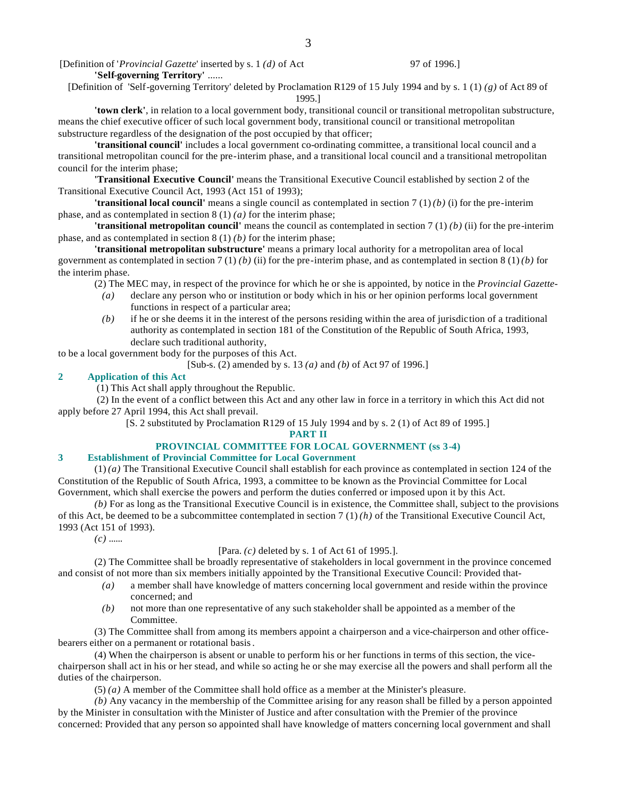[Definition of '*Provincial Gazette*' inserted by s. 1 *(d)* of Act 97 of 1996.]

**'Self-governing Territory'** ......

[Definition of 'Self-governing Territory' deleted by Proclamation R129 of 15 July 1994 and by s. 1 (1) *(g)* of Act 89 of 1995.]

**'town clerk'**, in relation to a local government body, transitional council or transitional metropolitan substructure, means the chief executive officer of such local government body, transitional council or transitional metropolitan substructure regardless of the designation of the post occupied by that officer;

**'transitional council'** includes a local government co-ordinating committee, a transitional local council and a transitional metropolitan council for the pre-interim phase, and a transitional local council and a transitional metropolitan council for the interim phase;

**'Transitional Executive Council'** means the Transitional Executive Council established by section 2 of the Transitional Executive Council Act, 1993 (Act 151 of 1993);

**'transitional local council'** means a single council as contemplated in section 7 (1) *(b)* (i) for the pre-interim phase, and as contemplated in section 8 (1) *(a)* for the interim phase;

**'transitional metropolitan council'** means the council as contemplated in section 7 (1) *(b)* (ii) for the pre-interim phase, and as contemplated in section 8 (1) *(b)* for the interim phase;

**'transitional metropolitan substructure'** means a primary local authority for a metropolitan area of local government as contemplated in section 7 (1) *(b)* (ii) for the pre-interim phase, and as contemplated in section 8 (1) *(b)* for the interim phase.

(2) The MEC may, in respect of the province for which he or she is appointed, by notice in the *Provincial Gazette*-

- *(a)* declare any person who or institution or body which in his or her opinion performs local government functions in respect of a particular area;
- *(b)* if he or she deems it in the interest of the persons residing within the area of jurisdiction of a traditional authority as contemplated in section 181 of the Constitution of the Republic of South Africa, 1993, declare such traditional authority,

to be a local government body for the purposes of this Act.

[Sub-s. (2) amended by s. 13 *(a)* and *(b)* of Act 97 of 1996.]

#### **2 Application of this Act**

(1) This Act shall apply throughout the Republic.

 (2) In the event of a conflict between this Act and any other law in force in a territory in which this Act did not apply before 27 April 1994, this Act shall prevail.

[S. 2 substituted by Proclamation R129 of 15 July 1994 and by s. 2 (1) of Act 89 of 1995.]

**PART II**

# **PROVINCIAL COMMITTEE FOR LOCAL GOVERNMENT (ss 3-4)**

#### **3 Establishment of Provincial Committee for Local Government**

(1) *(a)* The Transitional Executive Council shall establish for each province as contemplated in section 124 of the Constitution of the Republic of South Africa, 1993, a committee to be known as the Provincial Committee for Local Government, which shall exercise the powers and perform the duties conferred or imposed upon it by this Act.

*(b)* For as long as the Transitional Executive Council is in existence, the Committee shall, subject to the provisions of this Act, be deemed to be a subcommittee contemplated in section 7 (1) *(h)* of the Transitional Executive Council Act, 1993 (Act 151 of 1993).

*(c)* ......

[Para. *(c)* deleted by s. 1 of Act 61 of 1995.].

(2) The Committee shall be broadly representative of stakeholders in local government in the province concerned and consist of not more than six members initially appointed by the Transitional Executive Council: Provided that-

- *(a)* a member shall have knowledge of matters concerning local government and reside within the province concerned; and
- *(b)* not more than one representative of any such stakeholder shall be appointed as a member of the Committee.

(3) The Committee shall from among its members appoint a chairperson and a vice-chairperson and other officebearers either on a permanent or rotational basis.

(4) When the chairperson is absent or unable to perform his or her functions in terms of this section, the vicechairperson shall act in his or her stead, and while so acting he or she may exercise all the powers and shall perform all the duties of the chairperson.

(5) *(a)* A member of the Committee shall hold office as a member at the Minister's pleasure.

*(b)* Any vacancy in the membership of the Committee arising for any reason shall be filled by a person appointed by the Minister in consultation with the Minister of Justice and after consultation with the Premier of the province concerned: Provided that any person so appointed shall have knowledge of matters concerning local government and shall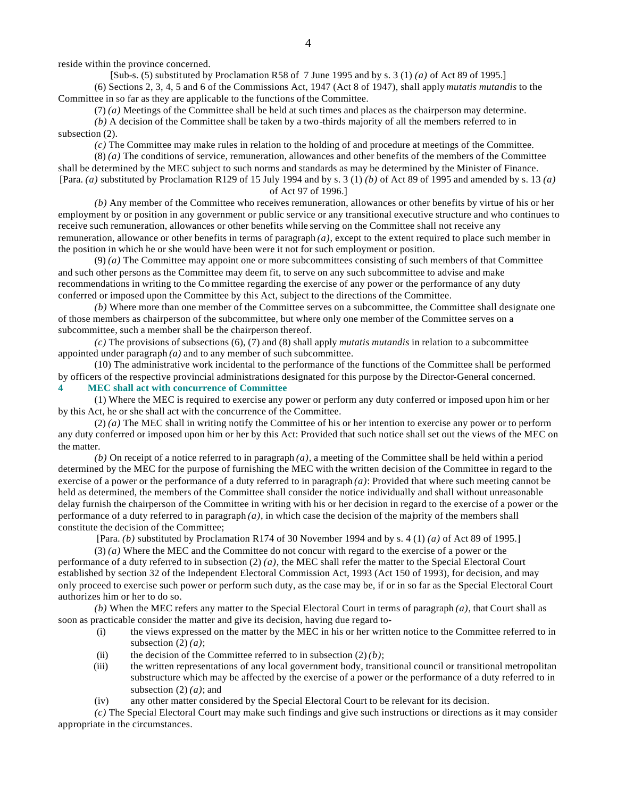reside within the province concerned.

[Sub-s. (5) substituted by Proclamation R58 of 7 June 1995 and by s. 3 (1) *(a)* of Act 89 of 1995.] (6) Sections 2, 3, 4, 5 and 6 of the Commissions Act, 1947 (Act 8 of 1947), shall apply *mutatis mutandis* to the

Committee in so far as they are applicable to the functions of the Committee.

(7) *(a)* Meetings of the Committee shall be held at such times and places as the chairperson may determine. *(b)* A decision of the Committee shall be taken by a two-thirds majority of all the members referred to in subsection (2).

*(c)* The Committee may make rules in relation to the holding of and procedure at meetings of the Committee.

(8) *(a)* The conditions of service, remuneration, allowances and other benefits of the members of the Committee shall be determined by the MEC subject to such norms and standards as may be determined by the Minister of Finance. [Para. *(a)* substituted by Proclamation R129 of 15 July 1994 and by s. 3 (1) *(b)* of Act 89 of 1995 and amended by s. 13 *(a)* of Act 97 of 1996.]

*(b)* Any member of the Committee who receives remuneration, allowances or other benefits by virtue of his or her employment by or position in any government or public service or any transitional executive structure and who continues to receive such remuneration, allowances or other benefits while serving on the Committee shall not receive any remuneration, allowance or other benefits in terms of paragraph *(a)*, except to the extent required to place such member in the position in which he or she would have been were it not for such employment or position.

(9) *(a)* The Committee may appoint one or more subcommittees consisting of such members of that Committee and such other persons as the Committee may deem fit, to serve on any such subcommittee to advise and make recommendations in writing to the Co mmittee regarding the exercise of any power or the performance of any duty conferred or imposed upon the Committee by this Act, subject to the directions of the Committee.

*(b)* Where more than one member of the Committee serves on a subcommittee, the Committee shall designate one of those members as chairperson of the subcommittee, but where only one member of the Committee serves on a subcommittee, such a member shall be the chairperson thereof.

*(c)* The provisions of subsections (6), (7) and (8) shall apply *mutatis mutandis* in relation to a subcommittee appointed under paragraph *(a)* and to any member of such subcommittee.

(10) The administrative work incidental to the performance of the functions of the Committee shall be performed by officers of the respective provincial administrations designated for this purpose by the Director-General concerned.

**4 MEC shall act with concurrence of Committee**

(1) Where the MEC is required to exercise any power or perform any duty conferred or imposed upon him or her by this Act, he or she shall act with the concurrence of the Committee.

(2) *(a)* The MEC shall in writing notify the Committee of his or her intention to exercise any power or to perform any duty conferred or imposed upon him or her by this Act: Provided that such notice shall set out the views of the MEC on the matter.

*(b)* On receipt of a notice referred to in paragraph *(a)*, a meeting of the Committee shall be held within a period determined by the MEC for the purpose of furnishing the MEC with the written decision of the Committee in regard to the exercise of a power or the performance of a duty referred to in paragraph *(a)*: Provided that where such meeting cannot be held as determined, the members of the Committee shall consider the notice individually and shall without unreasonable delay furnish the chairperson of the Committee in writing with his or her decision in regard to the exercise of a power or the performance of a duty referred to in paragraph  $(a)$ , in which case the decision of the majority of the members shall constitute the decision of the Committee;

[Para. *(b)* substituted by Proclamation R174 of 30 November 1994 and by s. 4 (1) *(a)* of Act 89 of 1995.]

(3) *(a)* Where the MEC and the Committee do not concur with regard to the exercise of a power or the performance of a duty referred to in subsection  $(2)$   $(a)$ , the MEC shall refer the matter to the Special Electoral Court established by section 32 of the Independent Electoral Commission Act, 1993 (Act 150 of 1993), for decision, and may only proceed to exercise such power or perform such duty, as the case may be, if or in so far as the Special Electoral Court authorizes him or her to do so.

*(b)* When the MEC refers any matter to the Special Electoral Court in terms of paragraph *(a)*, that Court shall as soon as practicable consider the matter and give its decision, having due regard to-

- (i) the views expressed on the matter by the MEC in his or her written notice to the Committee referred to in subsection  $(2)$   $(a)$ ;
- (ii) the decision of the Committee referred to in subsection  $(2)(b)$ ;
- (iii) the written representations of any local government body, transitional council or transitional metropolitan substructure which may be affected by the exercise of a power or the performance of a duty referred to in subsection (2) *(a)*; and
- (iv) any other matter considered by the Special Electoral Court to be relevant for its decision.

*(c)* The Special Electoral Court may make such findings and give such instructions or directions as it may consider appropriate in the circumstances.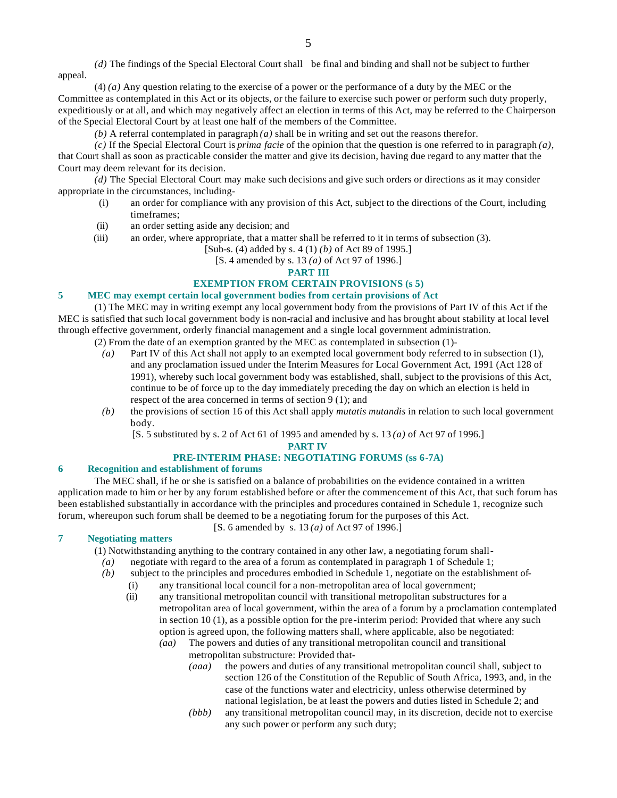*(d)* The findings of the Special Electoral Court shall be final and binding and shall not be subject to further appeal.

(4) *(a)* Any question relating to the exercise of a power or the performance of a duty by the MEC or the Committee as contemplated in this Act or its objects, or the failure to exercise such power or perform such duty properly, expeditiously or at all, and which may negatively affect an election in terms of this Act, may be referred to the Chairperson of the Special Electoral Court by at least one half of the members of the Committee.

*(b)* A referral contemplated in paragraph *(a)* shall be in writing and set out the reasons therefor.

*(c)* If the Special Electoral Court is *prima facie* of the opinion that the question is one referred to in paragraph *(a)*, that Court shall as soon as practicable consider the matter and give its decision, having due regard to any matter that the Court may deem relevant for its decision.

*(d)* The Special Electoral Court may make such decisions and give such orders or directions as it may consider appropriate in the circumstances, including-

- (i) an order for compliance with any provision of this Act, subject to the directions of the Court, including timeframes;
- (ii) an order setting aside any decision; and
- (iii) an order, where appropriate, that a matter shall be referred to it in terms of subsection (3).

[Sub-s. (4) added by s. 4 (1) *(b)* of Act 89 of 1995.]

[S. 4 amended by s. 13 *(a)* of Act 97 of 1996.]

# **PART III**

# **EXEMPTION FROM CERTAIN PROVISIONS (s 5)**

#### **5 MEC may exempt certain local government bodies from certain provisions of Act**

(1) The MEC may in writing exempt any local government body from the provisions of Part IV of this Act if the MEC is satisfied that such local government body is non-racial and inclusive and has brought about stability at local level through effective government, orderly financial management and a single local government administration.

(2) From the date of an exemption granted by the MEC as contemplated in subsection (1)-

- *(a)* Part IV of this Act shall not apply to an exempted local government body referred to in subsection (1), and any proclamation issued under the Interim Measures for Local Government Act, 1991 (Act 128 of 1991), whereby such local government body was established, shall, subject to the provisions of this Act, continue to be of force up to the day immediately preceding the day on which an election is held in respect of the area concerned in terms of section 9 (1); and
- *(b)* the provisions of section 16 of this Act shall apply *mutatis mutandis* in relation to such local government body.

[S. 5 substituted by s. 2 of Act 61 of 1995 and amended by s. 13 *(a)* of Act 97 of 1996.]

#### **PART IV**

#### **PRE-INTERIM PHASE: NEGOTIATING FORUMS (ss 6-7A)**

#### **6 Recognition and establishment of forums**

The MEC shall, if he or she is satisfied on a balance of probabilities on the evidence contained in a written application made to him or her by any forum established before or after the commencement of this Act, that such forum has been established substantially in accordance with the principles and procedures contained in Schedule 1, recognize such forum, whereupon such forum shall be deemed to be a negotiating forum for the purposes of this Act.

[S. 6 amended by s. 13 *(a)* of Act 97 of 1996.]

# **7 Negotiating matters**

(1) Notwithstanding anything to the contrary contained in any other law, a negotiating forum shall-

- *(a)* negotiate with regard to the area of a forum as contemplated in paragraph 1 of Schedule 1;
- *(b)* subject to the principles and procedures embodied in Schedule 1, negotiate on the establishment of-
	- (i) any transitional local council for a non-metropolitan area of local government;
	- (ii) any transitional metropolitan council with transitional metropolitan substructures for a metropolitan area of local government, within the area of a forum by a proclamation contemplated in section 10 (1), as a possible option for the pre-interim period: Provided that where any such option is agreed upon, the following matters shall, where applicable, also be negotiated:
		- *(aa)* The powers and duties of any transitional metropolitan council and transitional metropolitan substructure: Provided that-
			- *(aaa)* the powers and duties of any transitional metropolitan council shall, subject to section 126 of the Constitution of the Republic of South Africa, 1993, and, in the case of the functions water and electricity, unless otherwise determined by national legislation, be at least the powers and duties listed in Schedule 2; and
			- *(bbb)* any transitional metropolitan council may, in its discretion, decide not to exercise any such power or perform any such duty;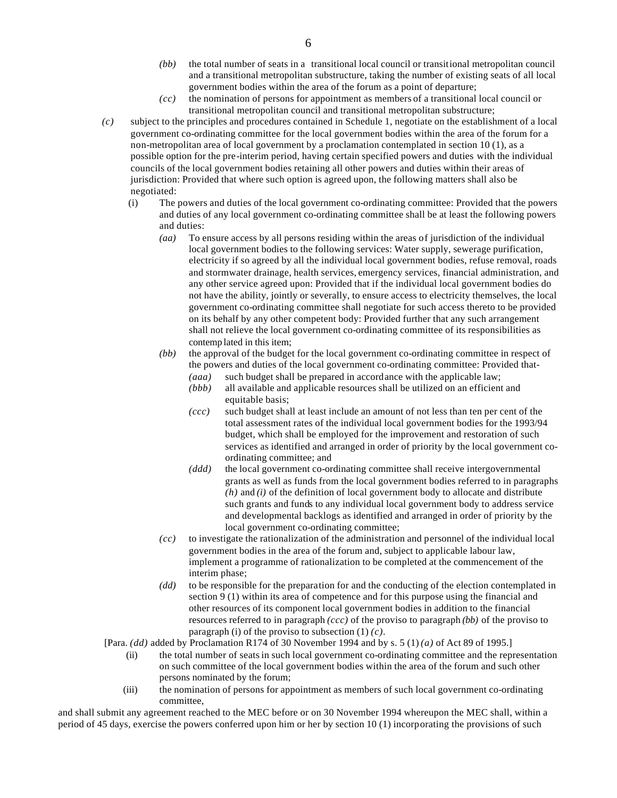- *(bb)* the total number of seats in a transitional local council or transitional metropolitan council and a transitional metropolitan substructure, taking the number of existing seats of all local government bodies within the area of the forum as a point of departure;
- *(cc)* the nomination of persons for appointment as members of a transitional local council or transitional metropolitan council and transitional metropolitan substructure;
- *(c)* subject to the principles and procedures contained in Schedule 1, negotiate on the establishment of a local government co-ordinating committee for the local government bodies within the area of the forum for a non-metropolitan area of local government by a proclamation contemplated in section 10 (1), as a possible option for the pre-interim period, having certain specified powers and duties with the individual councils of the local government bodies retaining all other powers and duties within their areas of jurisdiction: Provided that where such option is agreed upon, the following matters shall also be negotiated:
	- (i) The powers and duties of the local government co-ordinating committee: Provided that the powers and duties of any local government co-ordinating committee shall be at least the following powers and duties:
		- *(aa)* To ensure access by all persons residing within the areas of jurisdiction of the individual local government bodies to the following services: Water supply, sewerage purification, electricity if so agreed by all the individual local government bodies, refuse removal, roads and stormwater drainage, health services, emergency services, financial administration, and any other service agreed upon: Provided that if the individual local government bodies do not have the ability, jointly or severally, to ensure access to electricity themselves, the local government co-ordinating committee shall negotiate for such access thereto to be provided on its behalf by any other competent body: Provided further that any such arrangement shall not relieve the local government co-ordinating committee of its responsibilities as contemp lated in this item;
		- *(bb)* the approval of the budget for the local government co-ordinating committee in respect of the powers and duties of the local government co-ordinating committee: Provided that-
			- *(aaa)* such budget shall be prepared in accordance with the applicable law; *(bbb)* all available and applicable resources shall be utilized on an efficient and
			- equitable basis; *(ccc)* such budget shall at least include an amount of not less than ten per cent of the total assessment rates of the individual local government bodies for the 1993/94 budget, which shall be employed for the improvement and restoration of such services as identified and arranged in order of priority by the local government coordinating committee; and
			- *(ddd)* the local government co-ordinating committee shall receive intergovernmental grants as well as funds from the local government bodies referred to in paragraphs *(h)* and *(i)* of the definition of local government body to allocate and distribute such grants and funds to any individual local government body to address service and developmental backlogs as identified and arranged in order of priority by the local government co-ordinating committee;
		- *(cc)* to investigate the rationalization of the administration and personnel of the individual local government bodies in the area of the forum and, subject to applicable labour law, implement a programme of rationalization to be completed at the commencement of the interim phase;
		- *(dd)* to be responsible for the preparation for and the conducting of the election contemplated in section 9 (1) within its area of competence and for this purpose using the financial and other resources of its component local government bodies in addition to the financial resources referred to in paragraph *(ccc)* of the proviso to paragraph *(bb)* of the proviso to paragraph (i) of the proviso to subsection (1) *(c)*.

[Para. *(dd)* added by Proclamation R174 of 30 November 1994 and by s. 5 (1) *(a)* of Act 89 of 1995.]

- (ii) the total number of seats in such local government co-ordinating committee and the representation on such committee of the local government bodies within the area of the forum and such other persons nominated by the forum;
- (iii) the nomination of persons for appointment as members of such local government co-ordinating committee,

and shall submit any agreement reached to the MEC before or on 30 November 1994 whereupon the MEC shall, within a period of 45 days, exercise the powers conferred upon him or her by section 10 (1) incorporating the provisions of such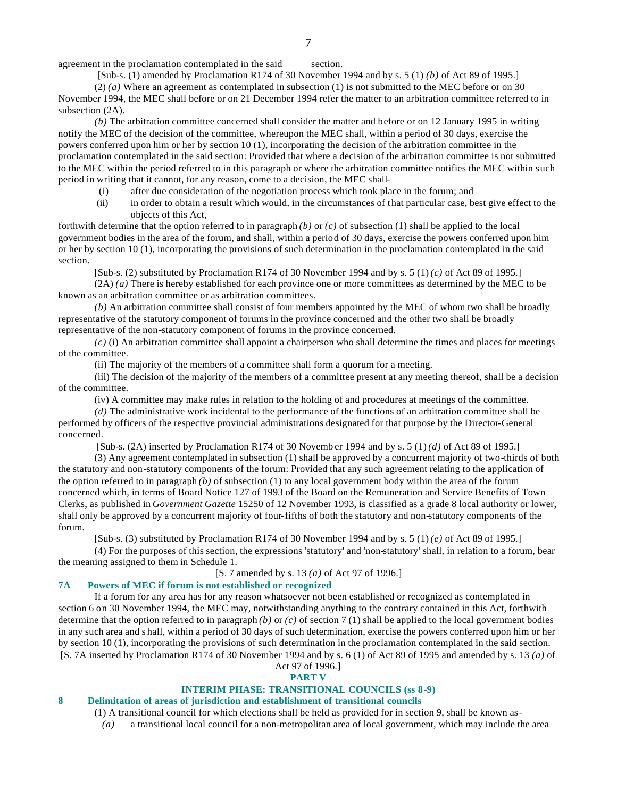agreement in the proclamation contemplated in the said section.

[Sub-s. (1) amended by Proclamation R174 of 30 November 1994 and by s. 5 (1) *(b)* of Act 89 of 1995.]

(2) *(a)* Where an agreement as contemplated in subsection (1) is not submitted to the MEC before or on 30 November 1994, the MEC shall before or on 21 December 1994 refer the matter to an arbitration committee referred to in subsection  $(2A)$ .

*(b)* The arbitration committee concerned shall consider the matter and before or on 12 January 1995 in writing notify the MEC of the decision of the committee, whereupon the MEC shall, within a period of 30 days, exercise the powers conferred upon him or her by section 10 (1), incorporating the decision of the arbitration committee in the proclamation contemplated in the said section: Provided that where a decision of the arbitration committee is not submitted to the MEC within the period referred to in this paragraph or where the arbitration committee notifies the MEC within such period in writing that it cannot, for any reason, come to a decision, the MEC shall-

- (i) after due consideration of the negotiation process which took place in the forum; and
- (ii) in order to obtain a result which would, in the circumstances of that particular case, best give effect to the objects of this Act,

forthwith determine that the option referred to in paragraph *(b)* or *(c)* of subsection (1) shall be applied to the local government bodies in the area of the forum, and shall, within a period of 30 days, exercise the powers conferred upon him or her by section 10 (1), incorporating the provisions of such determination in the proclamation contemplated in the said section.

[Sub-s. (2) substituted by Proclamation R174 of 30 November 1994 and by s. 5 (1) *(c)* of Act 89 of 1995.]

(2A) *(a)* There is hereby established for each province one or more committees as determined by the MEC to be known as an arbitration committee or as arbitration committees.

*(b)* An arbitration committee shall consist of four members appointed by the MEC of whom two shall be broadly representative of the statutory component of forums in the province concerned and the other two shall be broadly representative of the non-statutory component of forums in the province concerned.

*(c)* (i) An arbitration committee shall appoint a chairperson who shall determine the times and places for meetings of the committee.

(ii) The majority of the members of a committee shall form a quorum for a meeting.

(iii) The decision of the majority of the members of a committee present at any meeting thereof, shall be a decision of the committee.

(iv) A committee may make rules in relation to the holding of and procedures at meetings of the committee.

*(d)* The administrative work incidental to the performance of the functions of an arbitration committee shall be performed by officers of the respective provincial administrations designated for that purpose by the Director-General concerned.

[Sub-s. (2A) inserted by Proclamation R174 of 30 Novemb er 1994 and by s. 5 (1) *(d)* of Act 89 of 1995.]

(3) Any agreement contemplated in subsection (1) shall be approved by a concurrent majority of two-thirds of both the statutory and non-statutory components of the forum: Provided that any such agreement relating to the application of the option referred to in paragraph *(b)* of subsection (1) to any local government body within the area of the forum concerned which, in terms of Board Notice 127 of 1993 of the Board on the Remuneration and Service Benefits of Town Clerks, as published in *Government Gazette* 15250 of 12 November 1993, is classified as a grade 8 local authority or lower, shall only be approved by a concurrent majority of four-fifths of both the statutory and non-statutory components of the forum.

[Sub-s. (3) substituted by Proclamation R174 of 30 November 1994 and by s. 5 (1) *(e)* of Act 89 of 1995.]

(4) For the purposes of this section, the expressions 'statutory' and 'non-statutory' shall, in relation to a forum, bear the meaning assigned to them in Schedule 1.

[S. 7 amended by s. 13 *(a)* of Act 97 of 1996.]

#### **7A Powers of MEC if forum is not established or recognized**

If a forum for any area has for any reason whatsoever not been established or recognized as contemplated in section 6 on 30 November 1994, the MEC may, notwithstanding anything to the contrary contained in this Act, forthwith determine that the option referred to in paragraph *(b)* or *(c)* of section 7 (1) shall be applied to the local government bodies in any such area and s hall, within a period of 30 days of such determination, exercise the powers conferred upon him or her by section 10 (1), incorporating the provisions of such determination in the proclamation contemplated in the said section. [S. 7A inserted by Proclamation R174 of 30 November 1994 and by s. 6 (1) of Act 89 of 1995 and amended by s. 13 *(a)* of Act 97 of 1996.]

# **PART V**

#### **INTERIM PHASE: TRANSITIONAL COUNCILS (ss 8-9)**

#### **8 Delimitation of areas of jurisdiction and establishment of transitional councils**

(1) A transitional council for which elections shall be held as provided for in section 9, shall be known as-

*(a)* a transitional local council for a non-metropolitan area of local government, which may include the area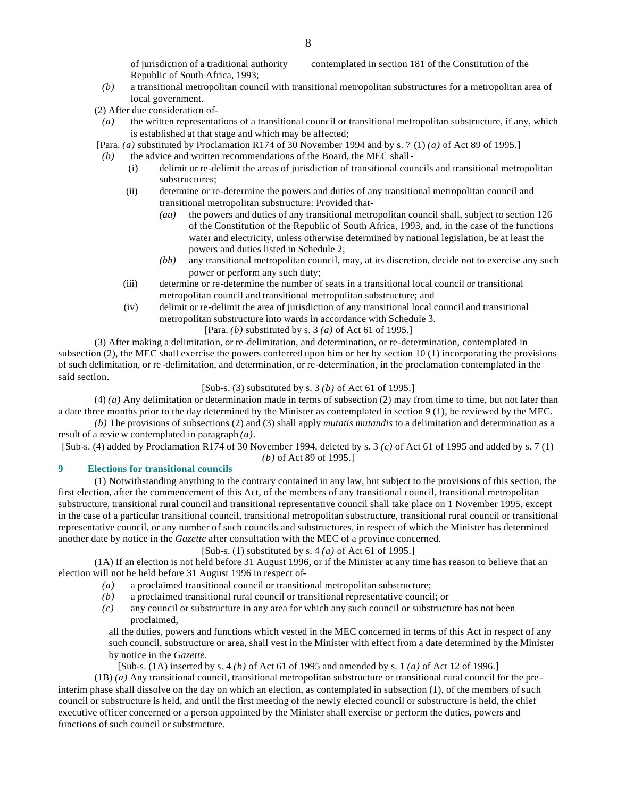of jurisdiction of a traditional authority contemplated in section 181 of the Constitution of the Republic of South Africa, 1993;

- *(b)* a transitional metropolitan council with transitional metropolitan substructures for a metropolitan area of local government.
- (2) After due consideration of-
- *(a)* the written representations of a transitional council or transitional metropolitan substructure, if any, which is established at that stage and which may be affected;
- [Para. *(a)* substituted by Proclamation R174 of 30 November 1994 and by s. 7 (1) *(a)* of Act 89 of 1995.]
- *(b)* the advice and written recommendations of the Board, the MEC shall-
	- (i) delimit or re-delimit the areas of jurisdiction of transitional councils and transitional metropolitan substructures;
	- (ii) determine or re-determine the powers and duties of any transitional metropolitan council and transitional metropolitan substructure: Provided that-
		- *(aa)* the powers and duties of any transitional metropolitan council shall, subject to section 126 of the Constitution of the Republic of South Africa, 1993, and, in the case of the functions water and electricity, unless otherwise determined by national legislation, be at least the powers and duties listed in Schedule 2;
		- *(bb)* any transitional metropolitan council, may, at its discretion, decide not to exercise any such power or perform any such duty;
	- (iii) determine or re-determine the number of seats in a transitional local council or transitional metropolitan council and transitional metropolitan substructure; and
	- (iv) delimit or re-delimit the area of jurisdiction of any transitional local council and transitional metropolitan substructure into wards in accordance with Schedule 3.
		- [Para. *(b)* substituted by s. 3 *(a)* of Act 61 of 1995.]

(3) After making a delimitation, or re-delimitation, and determination, or re-determination, contemplated in subsection (2), the MEC shall exercise the powers conferred upon him or her by section 10 (1) incorporating the provisions of such delimitation, or re -delimitation, and determination, or re-determination, in the proclamation contemplated in the said section.

#### [Sub-s. (3) substituted by s. 3 *(b)* of Act 61 of 1995.]

(4) *(a)* Any delimitation or determination made in terms of subsection (2) may from time to time, but not later than a date three months prior to the day determined by the Minister as contemplated in section 9 (1), be reviewed by the MEC.

*(b)* The provisions of subsections (2) and (3) shall apply *mutatis mutandis* to a delimitation and determination as a result of a revie w contemplated in paragraph *(a)*.

[Sub-s. (4) added by Proclamation R174 of 30 November 1994, deleted by s. 3 *(c)* of Act 61 of 1995 and added by s. 7 (1) *(b)* of Act 89 of 1995.]

#### **9 Elections for transitional councils**

(1) Notwithstanding anything to the contrary contained in any law, but subject to the provisions of this section, the first election, after the commencement of this Act, of the members of any transitional council, transitional metropolitan substructure, transitional rural council and transitional representative council shall take place on 1 November 1995, except in the case of a particular transitional council, transitional metropolitan substructure, transitional rural council or transitional representative council, or any number of such councils and substructures, in respect of which the Minister has determined another date by notice in the *Gazette* after consultation with the MEC of a province concerned.

[Sub-s. (1) substituted by s. 4 *(a)* of Act 61 of 1995.]

(1A) If an election is not held before 31 August 1996, or if the Minister at any time has reason to believe that an election will not be held before 31 August 1996 in respect of-

- *(a)* a proclaimed transitional council or transitional metropolitan substructure;
- *(b)* a proclaimed transitional rural council or transitional representative council; or
- *(c)* any council or substructure in any area for which any such council or substructure has not been proclaimed,

all the duties, powers and functions which vested in the MEC concerned in terms of this Act in respect of any such council, substructure or area, shall vest in the Minister with effect from a date determined by the Minister by notice in the *Gazette*.

[Sub-s. (1A) inserted by s. 4 *(b)* of Act 61 of 1995 and amended by s. 1 *(a)* of Act 12 of 1996.]

(1B) *(a)* Any transitional council, transitional metropolitan substructure or transitional rural council for the pre interim phase shall dissolve on the day on which an election, as contemplated in subsection (1), of the members of such council or substructure is held, and until the first meeting of the newly elected council or substructure is held, the chief executive officer concerned or a person appointed by the Minister shall exercise or perform the duties, powers and functions of such council or substructure.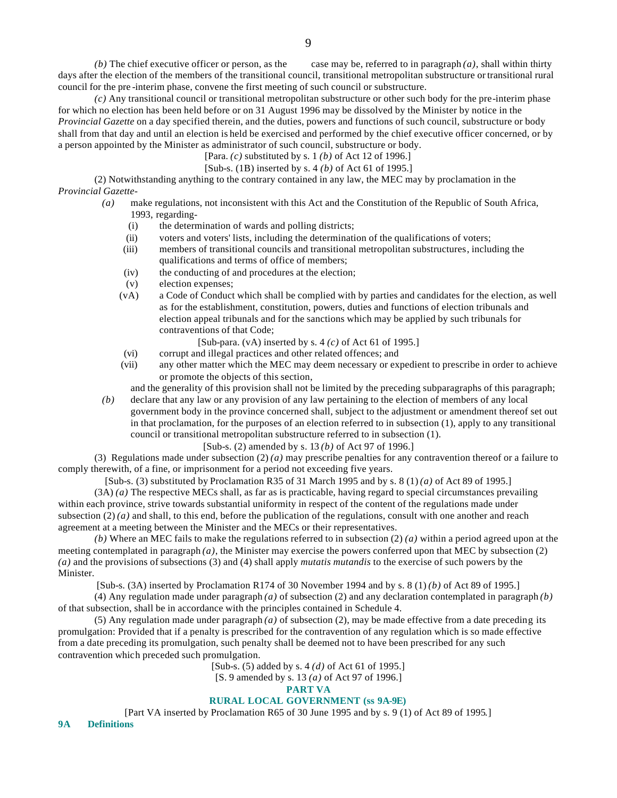*(b)* The chief executive officer or person, as the case may be, referred to in paragraph *(a)*, shall within thirty days after the election of the members of the transitional council, transitional metropolitan substructure or transitional rural council for the pre -interim phase, convene the first meeting of such council or substructure.

*(c)* Any transitional council or transitional metropolitan substructure or other such body for the pre-interim phase for which no election has been held before or on 31 August 1996 may be dissolved by the Minister by notice in the *Provincial Gazette* on a day specified therein, and the duties, powers and functions of such council, substructure or body shall from that day and until an election is held be exercised and performed by the chief executive officer concerned, or by a person appointed by the Minister as administrator of such council, substructure or body.

- [Para. *(c)* substituted by s. 1 *(b)* of Act 12 of 1996.]
- [Sub-s. (1B) inserted by s. 4 *(b)* of Act 61 of 1995.]

(2) Notwithstanding anything to the contrary contained in any law, the MEC may by proclamation in the *Provincial Gazette*-

- *(a)* make regulations, not inconsistent with this Act and the Constitution of the Republic of South Africa, 1993, regarding-
	- (i) the determination of wards and polling districts;
	- (ii) voters and voters' lists, including the determination of the qualifications of voters;
	- (iii) members of transitional councils and transitional metropolitan substructures, including the qualifications and terms of office of members;
	- (iv) the conducting of and procedures at the election;
	- (v) election expenses;
	- (vA) a Code of Conduct which shall be complied with by parties and candidates for the election, as well as for the establishment, constitution, powers, duties and functions of election tribunals and election appeal tribunals and for the sanctions which may be applied by such tribunals for contraventions of that Code;

[Sub-para. (vA) inserted by s. 4 *(c)* of Act 61 of 1995.]

- (vi) corrupt and illegal practices and other related offences; and
- (vii) any other matter which the MEC may deem necessary or expedient to prescribe in order to achieve or promote the objects of this section,

and the generality of this provision shall not be limited by the preceding subparagraphs of this paragraph; *(b)* declare that any law or any provision of any law pertaining to the election of members of any local

government body in the province concerned shall, subject to the adjustment or amendment thereof set out in that proclamation, for the purposes of an election referred to in subsection (1), apply to any transitional council or transitional metropolitan substructure referred to in subsection (1).

### [Sub-s. (2) amended by s. 13 *(b)* of Act 97 of 1996.]

(3) Regulations made under subsection  $(2)(a)$  may prescribe penalties for any contravention thereof or a failure to comply therewith, of a fine, or imprisonment for a period not exceeding five years.

[Sub-s. (3) substituted by Proclamation R35 of 31 March 1995 and by s. 8 (1) *(a)* of Act 89 of 1995.]

(3A) *(a)* The respective MECs shall, as far as is practicable, having regard to special circumstances prevailing within each province, strive towards substantial uniformity in respect of the content of the regulations made under subsection  $(2)(a)$  and shall, to this end, before the publication of the regulations, consult with one another and reach agreement at a meeting between the Minister and the MECs or their representatives.

*(b)* Where an MEC fails to make the regulations referred to in subsection (2) *(a)* within a period agreed upon at the meeting contemplated in paragraph  $(a)$ , the Minister may exercise the powers conferred upon that MEC by subsection  $(2)$ *(a)* and the provisions of subsections (3) and (4) shall apply *mutatis mutandis* to the exercise of such powers by the Minister.

[Sub-s. (3A) inserted by Proclamation R174 of 30 November 1994 and by s. 8 (1) *(b)* of Act 89 of 1995.]

(4) Any regulation made under paragraph *(a)* of subsection (2) and any declaration contemplated in paragraph *(b)* of that subsection, shall be in accordance with the principles contained in Schedule 4.

(5) Any regulation made under paragraph *(a)* of subsection (2), may be made effective from a date preceding its promulgation: Provided that if a penalty is prescribed for the contravention of any regulation which is so made effective from a date preceding its promulgation, such penalty shall be deemed not to have been prescribed for any such contravention which preceded such promulgation.

[Sub-s. (5) added by s. 4 *(d)* of Act 61 of 1995.]

[S. 9 amended by s. 13 *(a)* of Act 97 of 1996.]

**PART VA**

# **RURAL LOCAL GOVERNMENT (ss 9A-9E)**

[Part VA inserted by Proclamation R65 of 30 June 1995 and by s. 9 (1) of Act 89 of 1995.]

**9A Definitions**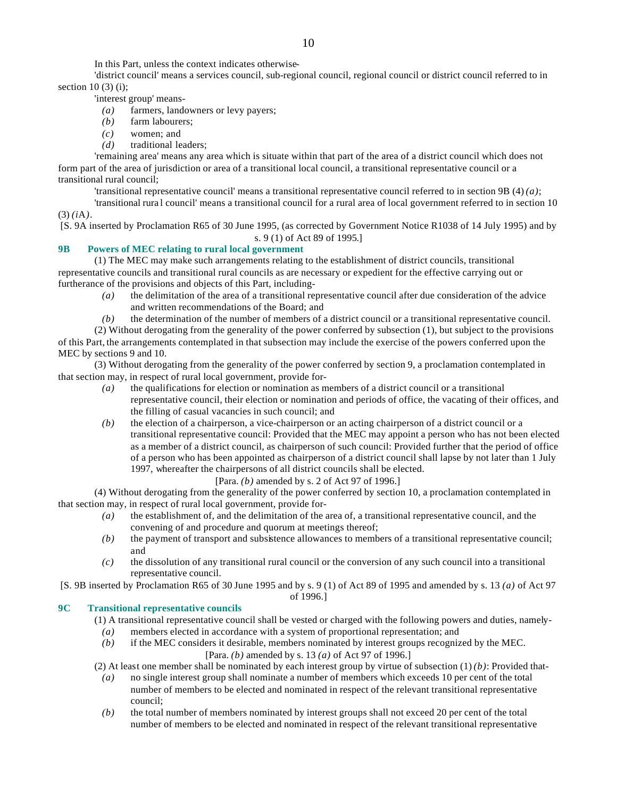In this Part, unless the context indicates otherwise-

'district council' means a services council, sub-regional council, regional council or district council referred to in section  $10(3)(i)$ ;

'interest group' means-

- *(a)* farmers, landowners or levy payers;
- *(b)* farm labourers;
- *(c)* women; and
- *(d)* traditional leaders;

'remaining area' means any area which is situate within that part of the area of a district council which does not form part of the area of jurisdiction or area of a transitional local council, a transitional representative council or a transitional rural council;

'transitional representative council' means a transitional representative council referred to in section 9B (4) *(a)*;

'transitional rura l council' means a transitional council for a rural area of local government referred to in section 10 (3) *(i*A*)*.

[S. 9A inserted by Proclamation R65 of 30 June 1995, (as corrected by Government Notice R1038 of 14 July 1995) and by s. 9 (1) of Act 89 of 1995.]

# **9B Powers of MEC relating to rural local government**

(1) The MEC may make such arrangements relating to the establishment of district councils, transitional representative councils and transitional rural councils as are necessary or expedient for the effective carrying out or furtherance of the provisions and objects of this Part, including-

- *(a)* the delimitation of the area of a transitional representative council after due consideration of the advice and written recommendations of the Board; and
- *(b)* the determination of the number of members of a district council or a transitional representative council.

(2) Without derogating from the generality of the power conferred by subsection (1), but subject to the provisions of this Part, the arrangements contemplated in that subsection may include the exercise of the powers conferred upon the MEC by sections 9 and 10.

(3) Without derogating from the generality of the power conferred by section 9, a proclamation contemplated in that section may, in respect of rural local government, provide for-

- *(a)* the qualifications for election or nomination as members of a district council or a transitional representative council, their election or nomination and periods of office, the vacating of their offices, and the filling of casual vacancies in such council; and
- *(b)* the election of a chairperson, a vice-chairperson or an acting chairperson of a district council or a transitional representative council: Provided that the MEC may appoint a person who has not been elected as a member of a district council, as chairperson of such council: Provided further that the period of office of a person who has been appointed as chairperson of a district council shall lapse by not later than 1 July 1997, whereafter the chairpersons of all district councils shall be elected.

# [Para. *(b)* amended by s. 2 of Act 97 of 1996.]

(4) Without derogating from the generality of the power conferred by section 10, a proclamation contemplated in that section may, in respect of rural local government, provide for-

- *(a)* the establishment of, and the delimitation of the area of, a transitional representative council, and the convening of and procedure and quorum at meetings thereof;
- *(b)* the payment of transport and subsistence allowances to members of a transitional representative council; and
- *(c)* the dissolution of any transitional rural council or the conversion of any such council into a transitional representative council.

[S. 9B inserted by Proclamation R65 of 30 June 1995 and by s. 9 (1) of Act 89 of 1995 and amended by s. 13 *(a)* of Act 97 of 1996.]

# **9C Transitional representative councils**

(1) A transitional representative council shall be vested or charged with the following powers and duties, namely-

- *(a)* members elected in accordance with a system of proportional representation; and
- *(b)* if the MEC considers it desirable, members nominated by interest groups recognized by the MEC. [Para. *(b)* amended by s. 13 *(a)* of Act 97 of 1996.]

(2) At least one member shall be nominated by each interest group by virtue of subsection  $(1)(b)$ : Provided that-

- *(a)* no single interest group shall nominate a number of members which exceeds 10 per cent of the total number of members to be elected and nominated in respect of the relevant transitional representative council;
- *(b)* the total number of members nominated by interest groups shall not exceed 20 per cent of the total number of members to be elected and nominated in respect of the relevant transitional representative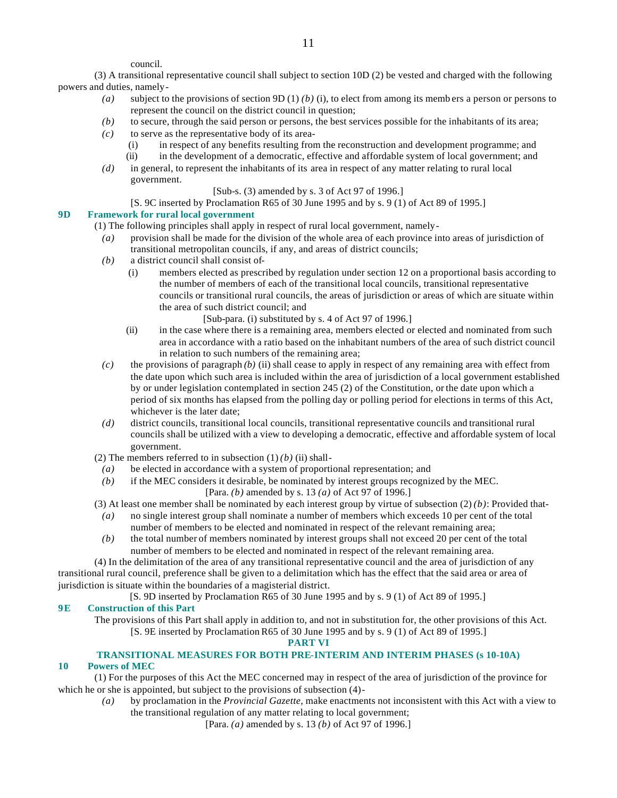council.

(3) A transitional representative council shall subject to section 10D (2) be vested and charged with the following powers and duties, namely-

- *(a)* subject to the provisions of section 9D (1) *(b)* (i), to elect from among its memb ers a person or persons to represent the council on the district council in question;
- *(b)* to secure, through the said person or persons, the best services possible for the inhabitants of its area;
- *(c)* to serve as the representative body of its area-
	- (i) in respect of any benefits resulting from the reconstruction and development programme; and
	- (ii) in the development of a democratic, effective and affordable system of local government; and
- *(d)* in general, to represent the inhabitants of its area in respect of any matter relating to rural local government.

#### [Sub-s. (3) amended by s. 3 of Act 97 of 1996.]

[S. 9C inserted by Proclamation R65 of 30 June 1995 and by s. 9 (1) of Act 89 of 1995.]

# **9D Framework for rural local government**

- (1) The following principles shall apply in respect of rural local government, namely-
	- *(a)* provision shall be made for the division of the whole area of each province into areas of jurisdiction of transitional metropolitan councils, if any, and areas of district councils;
	- *(b)* a district council shall consist of-
		- (i) members elected as prescribed by regulation under section 12 on a proportional basis according to the number of members of each of the transitional local councils, transitional representative councils or transitional rural councils, the areas of jurisdiction or areas of which are situate within the area of such district council; and
			- [Sub-para. (i) substituted by s. 4 of Act 97 of 1996.]
		- (ii) in the case where there is a remaining area, members elected or elected and nominated from such area in accordance with a ratio based on the inhabitant numbers of the area of such district council in relation to such numbers of the remaining area;
	- *(c)* the provisions of paragraph *(b)* (ii) shall cease to apply in respect of any remaining area with effect from the date upon which such area is included within the area of jurisdiction of a local government established by or under legislation contemplated in section 245 (2) of the Constitution, or the date upon which a period of six months has elapsed from the polling day or polling period for elections in terms of this Act, whichever is the later date;
	- *(d)* district councils, transitional local councils, transitional representative councils and transitional rural councils shall be utilized with a view to developing a democratic, effective and affordable system of local government.
- (2) The members referred to in subsection  $(1)$  *(b) (ii)* shall-
- *(a)* be elected in accordance with a system of proportional representation; and
- *(b)* if the MEC considers it desirable, be nominated by interest groups recognized by the MEC. [Para. *(b)* amended by s. 13 *(a)* of Act 97 of 1996.]
- (3) At least one member shall be nominated by each interest group by virtue of subsection  $(2)(b)$ : Provided that-
	- *(a)* no single interest group shall nominate a number of members which exceeds 10 per cent of the total number of members to be elected and nominated in respect of the relevant remaining area;
	- *(b)* the total number of members nominated by interest groups shall not exceed 20 per cent of the total number of members to be elected and nominated in respect of the relevant remaining area.

(4) In the delimitation of the area of any transitional representative council and the area of jurisdiction of any transitional rural council, preference shall be given to a delimitation which has the effect that the said area or area of jurisdiction is situate within the boundaries of a magisterial district.

[S. 9D inserted by Proclamation R65 of 30 June 1995 and by s. 9 (1) of Act 89 of 1995.]

#### **9E Construction of this Part**

The provisions of this Part shall apply in addition to, and not in substitution for, the other provisions of this Act. [S. 9E inserted by Proclamation R65 of 30 June 1995 and by s. 9 (1) of Act 89 of 1995.]

**PART VI**

# **TRANSITIONAL MEASURES FOR BOTH PRE-INTERIM AND INTERIM PHASES (s 10-10A)**

# **10 Powers of MEC**

(1) For the purposes of this Act the MEC concerned may in respect of the area of jurisdiction of the province for which he or she is appointed, but subject to the provisions of subsection (4)-

- *(a)* by proclamation in the *Provincial Gazette*, make enactments not inconsistent with this Act with a view to the transitional regulation of any matter relating to local government;
	- [Para. *(a)* amended by s. 13 *(b)* of Act 97 of 1996.]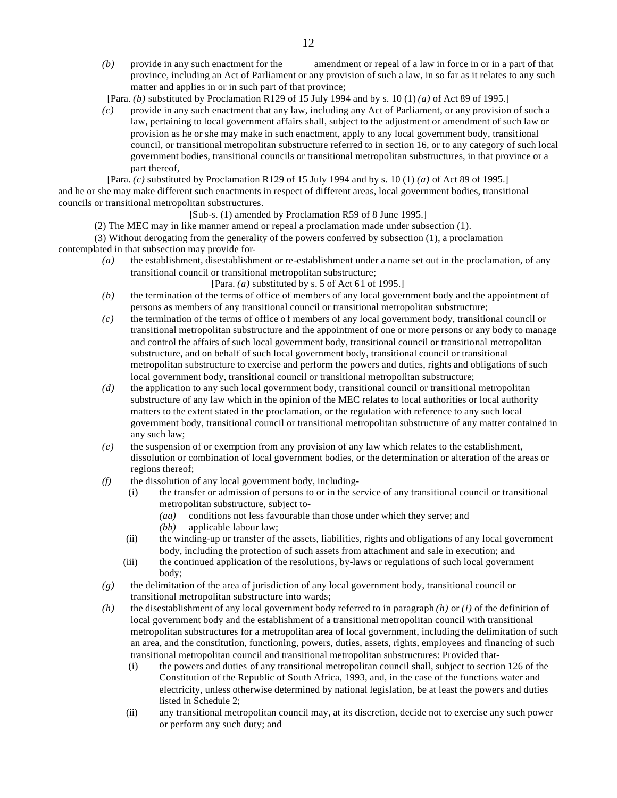*(b)* provide in any such enactment for the amendment or repeal of a law in force in or in a part of that province, including an Act of Parliament or any provision of such a law, in so far as it relates to any such matter and applies in or in such part of that province;

[Para. *(b)* substituted by Proclamation R129 of 15 July 1994 and by s. 10 (1) *(a)* of Act 89 of 1995.]

*(c)* provide in any such enactment that any law, including any Act of Parliament, or any provision of such a law, pertaining to local government affairs shall, subject to the adjustment or amendment of such law or provision as he or she may make in such enactment, apply to any local government body, transitional council, or transitional metropolitan substructure referred to in section 16, or to any category of such local government bodies, transitional councils or transitional metropolitan substructures, in that province or a part thereof,

[Para. *(c)* substituted by Proclamation R129 of 15 July 1994 and by s. 10 (1) *(a)* of Act 89 of 1995.] and he or she may make different such enactments in respect of different areas, local government bodies, transitional councils or transitional metropolitan substructures.

[Sub-s. (1) amended by Proclamation R59 of 8 June 1995.]

(2) The MEC may in like manner amend or repeal a proclamation made under subsection (1).

(3) Without derogating from the generality of the powers conferred by subsection (1), a proclamation contemplated in that subsection may provide for-

*(a)* the establishment, disestablishment or re-establishment under a name set out in the proclamation, of any transitional council or transitional metropolitan substructure;

[Para. *(a)* substituted by s. 5 of Act 61 of 1995.]

- *(b)* the termination of the terms of office of members of any local government body and the appointment of persons as members of any transitional council or transitional metropolitan substructure;
- *(c)* the termination of the terms of office of members of any local government body, transitional council or transitional metropolitan substructure and the appointment of one or more persons or any body to manage and control the affairs of such local government body, transitional council or transitional metropolitan substructure, and on behalf of such local government body, transitional council or transitional metropolitan substructure to exercise and perform the powers and duties, rights and obligations of such local government body, transitional council or transitional metropolitan substructure;
- *(d)* the application to any such local government body, transitional council or transitional metropolitan substructure of any law which in the opinion of the MEC relates to local authorities or local authority matters to the extent stated in the proclamation, or the regulation with reference to any such local government body, transitional council or transitional metropolitan substructure of any matter contained in any such law;
- *(e)* the suspension of or exemption from any provision of any law which relates to the establishment, dissolution or combination of local government bodies, or the determination or alteration of the areas or regions thereof;
- *(f)* the dissolution of any local government body, including-
	- (i) the transfer or admission of persons to or in the service of any transitional council or transitional metropolitan substructure, subject to-
		- *(aa)* conditions not less favourable than those under which they serve; and
		- *(bb)* applicable labour law;
	- (ii) the winding-up or transfer of the assets, liabilities, rights and obligations of any local government body, including the protection of such assets from attachment and sale in execution; and
	- (iii) the continued application of the resolutions, by-laws or regulations of such local government body;
- *(g)* the delimitation of the area of jurisdiction of any local government body, transitional council or transitional metropolitan substructure into wards;
- *(h)* the disestablishment of any local government body referred to in paragraph *(h)* or *(i)* of the definition of local government body and the establishment of a transitional metropolitan council with transitional metropolitan substructures for a metropolitan area of local government, including the delimitation of such an area, and the constitution, functioning, powers, duties, assets, rights, employees and financing of such transitional metropolitan council and transitional metropolitan substructures: Provided that-
	- (i) the powers and duties of any transitional metropolitan council shall, subject to section 126 of the Constitution of the Republic of South Africa, 1993, and, in the case of the functions water and electricity, unless otherwise determined by national legislation, be at least the powers and duties listed in Schedule 2;
	- (ii) any transitional metropolitan council may, at its discretion, decide not to exercise any such power or perform any such duty; and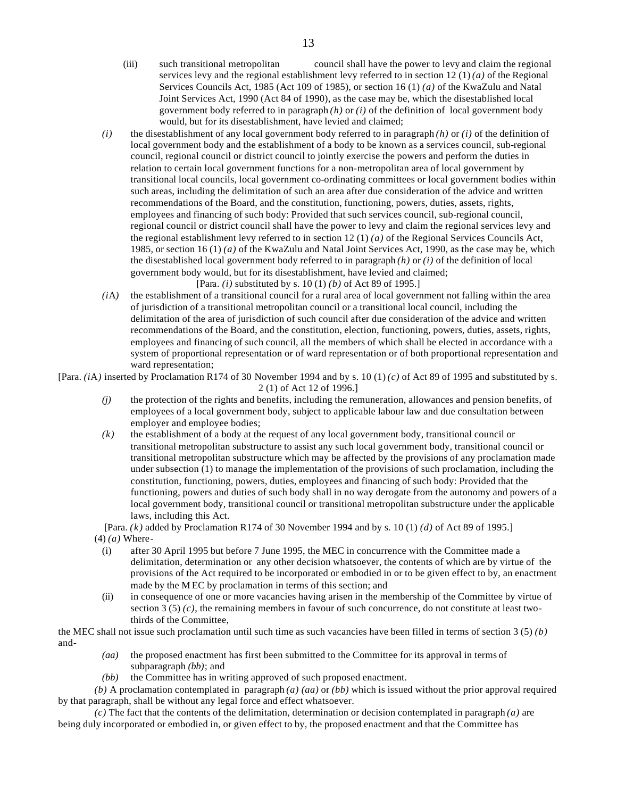- (iii) such transitional metropolitan council shall have the power to levy and claim the regional services levy and the regional establishment levy referred to in section 12 (1) *(a)* of the Regional Services Councils Act, 1985 (Act 109 of 1985), or section 16 (1) *(a)* of the KwaZulu and Natal Joint Services Act, 1990 (Act 84 of 1990), as the case may be, which the disestablished local government body referred to in paragraph *(h)* or *(i)* of the definition of local government body would, but for its disestablishment, have levied and claimed;
- *(i)* the disestablishment of any local government body referred to in paragraph *(h)* or *(i)* of the definition of local government body and the establishment of a body to be known as a services council, sub-regional council, regional council or district council to jointly exercise the powers and perform the duties in relation to certain local government functions for a non-metropolitan area of local government by transitional local councils, local government co-ordinating committees or local government bodies within such areas, including the delimitation of such an area after due consideration of the advice and written recommendations of the Board, and the constitution, functioning, powers, duties, assets, rights, employees and financing of such body: Provided that such services council, sub-regional council, regional council or district council shall have the power to levy and claim the regional services levy and the regional establishment levy referred to in section 12 (1) *(a)* of the Regional Services Councils Act, 1985, or section 16 (1) *(a)* of the KwaZulu and Natal Joint Services Act, 1990, as the case may be, which the disestablished local government body referred to in paragraph *(h)* or *(i)* of the definition of local government body would, but for its disestablishment, have levied and claimed;

[Para. *(i)* substituted by s. 10 (1) *(b)* of Act 89 of 1995.]

*(i*A*)* the establishment of a transitional council for a rural area of local government not falling within the area of jurisdiction of a transitional metropolitan council or a transitional local council, including the delimitation of the area of jurisdiction of such council after due consideration of the advice and written recommendations of the Board, and the constitution, election, functioning, powers, duties, assets, rights, employees and financing of such council, all the members of which shall be elected in accordance with a system of proportional representation or of ward representation or of both proportional representation and ward representation;

[Para.  $(iA)$  inserted by Proclamation R174 of 30 November 1994 and by s. 10 (1)  $(c)$  of Act 89 of 1995 and substituted by s. 2 (1) of Act 12 of 1996.]

- *(j)* the protection of the rights and benefits, including the remuneration, allowances and pension benefits, of employees of a local government body, subject to applicable labour law and due consultation between employer and employee bodies;
- *(k)* the establishment of a body at the request of any local government body, transitional council or transitional metropolitan substructure to assist any such local government body, transitional council or transitional metropolitan substructure which may be affected by the provisions of any proclamation made under subsection (1) to manage the implementation of the provisions of such proclamation, including the constitution, functioning, powers, duties, employees and financing of such body: Provided that the functioning, powers and duties of such body shall in no way derogate from the autonomy and powers of a local government body, transitional council or transitional metropolitan substructure under the applicable laws, including this Act.

[Para. *(k)* added by Proclamation R174 of 30 November 1994 and by s. 10 (1) *(d)* of Act 89 of 1995.] (4) *(a)* Where-

- (i) after 30 April 1995 but before 7 June 1995, the MEC in concurrence with the Committee made a delimitation, determination or any other decision whatsoever, the contents of which are by virtue of the provisions of the Act required to be incorporated or embodied in or to be given effect to by, an enactment made by the M EC by proclamation in terms of this section; and
- (ii) in consequence of one or more vacancies having arisen in the membership of the Committee by virtue of section 3 (5)  $(c)$ , the remaining members in favour of such concurrence, do not constitute at least twothirds of the Committee,

the MEC shall not issue such proclamation until such time as such vacancies have been filled in terms of section 3 (5) *(b)* and-

- *(aa)* the proposed enactment has first been submitted to the Committee for its approval in terms of subparagraph *(bb)*; and
- *(bb)* the Committee has in writing approved of such proposed enactment.

*(b)* A proclamation contemplated in paragraph *(a) (aa)* or *(bb)* which is issued without the prior approval required by that paragraph, shall be without any legal force and effect whatsoever.

*(c)* The fact that the contents of the delimitation, determination or decision contemplated in paragraph *(a)* are being duly incorporated or embodied in, or given effect to by, the proposed enactment and that the Committee has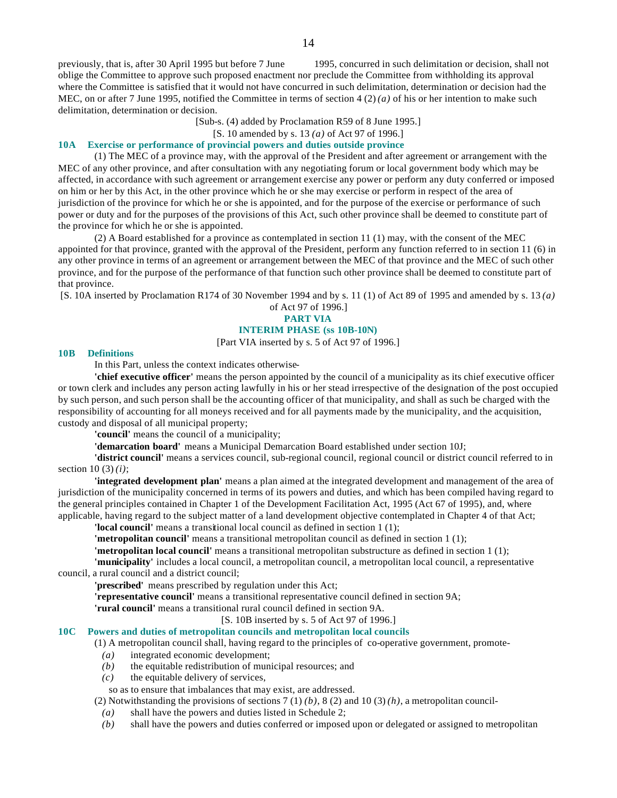previously, that is, after 30 April 1995 but before 7 June 1995, concurred in such delimitation or decision, shall not oblige the Committee to approve such proposed enactment nor preclude the Committee from withholding its approval where the Committee is satisfied that it would not have concurred in such delimitation, determination or decision had the MEC, on or after 7 June 1995, notified the Committee in terms of section 4 (2) *(a)* of his or her intention to make such delimitation, determination or decision.

[Sub-s. (4) added by Proclamation R59 of 8 June 1995.]

# [S. 10 amended by s. 13 *(a)* of Act 97 of 1996.]

### **10A Exercise or performance of provincial powers and duties outside province**

(1) The MEC of a province may, with the approval of the President and after agreement or arrangement with the MEC of any other province, and after consultation with any negotiating forum or local government body which may be affected, in accordance with such agreement or arrangement exercise any power or perform any duty conferred or imposed on him or her by this Act, in the other province which he or she may exercise or perform in respect of the area of jurisdiction of the province for which he or she is appointed, and for the purpose of the exercise or performance of such power or duty and for the purposes of the provisions of this Act, such other province shall be deemed to constitute part of the province for which he or she is appointed.

(2) A Board established for a province as contemplated in section 11 (1) may, with the consent of the MEC appointed for that province, granted with the approval of the President, perform any function referred to in section 11 (6) in any other province in terms of an agreement or arrangement between the MEC of that province and the MEC of such other province, and for the purpose of the performance of that function such other province shall be deemed to constitute part of that province.

[S. 10A inserted by Proclamation R174 of 30 November 1994 and by s. 11 (1) of Act 89 of 1995 and amended by s. 13 *(a)*

# of Act 97 of 1996.] **PART VIA INTERIM PHASE (ss 10B-10N)**

[Part VIA inserted by s. 5 of Act 97 of 1996.]

#### **10B Definitions**

In this Part, unless the context indicates otherwise-

**'chief executive officer'** means the person appointed by the council of a municipality as its chief executive officer or town clerk and includes any person acting lawfully in his or her stead irrespective of the designation of the post occupied by such person, and such person shall be the accounting officer of that municipality, and shall as such be charged with the responsibility of accounting for all moneys received and for all payments made by the municipality, and the acquisition, custody and disposal of all municipal property;

**'council'** means the council of a municipality;

**'demarcation board'** means a Municipal Demarcation Board established under section 10J;

**'district council'** means a services council, sub-regional council, regional council or district council referred to in section 10 (3) *(i)*;

**'integrated development plan'** means a plan aimed at the integrated development and management of the area of jurisdiction of the municipality concerned in terms of its powers and duties, and which has been compiled having regard to the general principles contained in Chapter 1 of the Development Facilitation Act, 1995 (Act 67 of 1995), and, where applicable, having regard to the subject matter of a land development objective contemplated in Chapter 4 of that Act;

**'local council'** means a transitional local council as defined in section 1 (1);

**'metropolitan council'** means a transitional metropolitan council as defined in section 1 (1);

**'metropolitan local council'** means a transitional metropolitan substructure as defined in section 1 (1);

**'municipality'** includes a local council, a metropolitan council, a metropolitan local council, a representative council, a rural council and a district council;

**'prescribed'** means prescribed by regulation under this Act;

**'representative council'** means a transitional representative council defined in section 9A;

**'rural council'** means a transitional rural council defined in section 9A.

[S. 10B inserted by s. 5 of Act 97 of 1996.]

# **10C Powers and duties of metropolitan councils and metropolitan local councils**

(1) A metropolitan council shall, having regard to the principles of co-operative government, promote-

- *(a)* integrated economic development;
- *(b)* the equitable redistribution of municipal resources; and
- *(c)* the equitable delivery of services,
- so as to ensure that imbalances that may exist, are addressed.

(2) Notwithstanding the provisions of sections  $7(1)(b)$ ,  $8(2)$  and  $10(3)(h)$ , a metropolitan council-

- *(a)* shall have the powers and duties listed in Schedule 2;
- *(b)* shall have the powers and duties conferred or imposed upon or delegated or assigned to metropolitan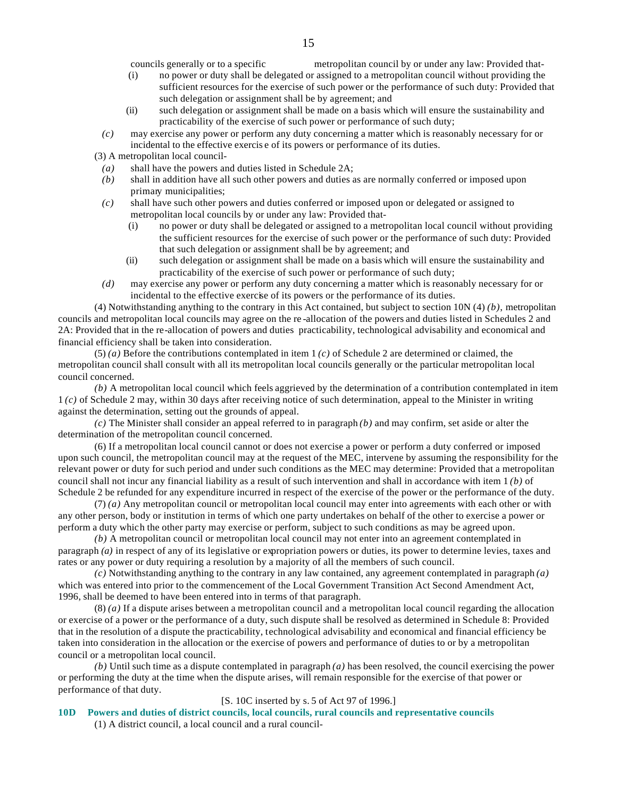councils generally or to a specific metropolitan council by or under any law: Provided that-

- (i) no power or duty shall be delegated or assigned to a metropolitan council without providing the sufficient resources for the exercise of such power or the performance of such duty: Provided that such delegation or assignment shall be by agreement; and
- (ii) such delegation or assignment shall be made on a basis which will ensure the sustainability and practicability of the exercise of such power or performance of such duty;
- *(c)* may exercise any power or perform any duty concerning a matter which is reasonably necessary for or incidental to the effective exercis e of its powers or performance of its duties.
- (3) A metropolitan local council-
	- *(a)* shall have the powers and duties listed in Schedule 2A;
	- *(b)* shall in addition have all such other powers and duties as are normally conferred or imposed upon primary municipalities;
	- *(c)* shall have such other powers and duties conferred or imposed upon or delegated or assigned to metropolitan local councils by or under any law: Provided that-
		- (i) no power or duty shall be delegated or assigned to a metropolitan local council without providing the sufficient resources for the exercise of such power or the performance of such duty: Provided that such delegation or assignment shall be by agreement; and
		- (ii) such delegation or assignment shall be made on a basis which will ensure the sustainability and practicability of the exercise of such power or performance of such duty;
	- *(d)* may exercise any power or perform any duty concerning a matter which is reasonably necessary for or incidental to the effective exercise of its powers or the performance of its duties.

(4) Notwithstanding anything to the contrary in this Act contained, but subject to section 10N (4) *(b)*, metropolitan councils and metropolitan local councils may agree on the re -allocation of the powers and duties listed in Schedules 2 and 2A: Provided that in the re-allocation of powers and duties practicability, technological advisability and economical and financial efficiency shall be taken into consideration.

(5) *(a)* Before the contributions contemplated in item 1 *(c)* of Schedule 2 are determined or claimed, the metropolitan council shall consult with all its metropolitan local councils generally or the particular metropolitan local council concerned.

*(b)* A metropolitan local council which feels aggrieved by the determination of a contribution contemplated in item 1 *(c)* of Schedule 2 may, within 30 days after receiving notice of such determination, appeal to the Minister in writing against the determination, setting out the grounds of appeal.

*(c)* The Minister shall consider an appeal referred to in paragraph *(b)* and may confirm, set aside or alter the determination of the metropolitan council concerned.

(6) If a metropolitan local council cannot or does not exercise a power or perform a duty conferred or imposed upon such council, the metropolitan council may at the request of the MEC, intervene by assuming the responsibility for the relevant power or duty for such period and under such conditions as the MEC may determine: Provided that a metropolitan council shall not incur any financial liability as a result of such intervention and shall in accordance with item 1 *(b)* of Schedule 2 be refunded for any expenditure incurred in respect of the exercise of the power or the performance of the duty.

(7) *(a)* Any metropolitan council or metropolitan local council may enter into agreements with each other or with any other person, body or institution in terms of which one party undertakes on behalf of the other to exercise a power or perform a duty which the other party may exercise or perform, subject to such conditions as may be agreed upon.

*(b)* A metropolitan council or metropolitan local council may not enter into an agreement contemplated in paragraph *(a)* in respect of any of its legislative or expropriation powers or duties, its power to determine levies, taxes and rates or any power or duty requiring a resolution by a majority of all the members of such council.

*(c)* Notwithstanding anything to the contrary in any law contained, any agreement contemplated in paragraph *(a)* which was entered into prior to the commencement of the Local Government Transition Act Second Amendment Act, 1996, shall be deemed to have been entered into in terms of that paragraph.

(8) *(a)* If a dispute arises between a metropolitan council and a metropolitan local council regarding the allocation or exercise of a power or the performance of a duty, such dispute shall be resolved as determined in Schedule 8: Provided that in the resolution of a dispute the practicability, technological advisability and economical and financial efficiency be taken into consideration in the allocation or the exercise of powers and performance of duties to or by a metropolitan council or a metropolitan local council.

*(b)* Until such time as a dispute contemplated in paragraph *(a)* has been resolved, the council exercising the power or performing the duty at the time when the dispute arises, will remain responsible for the exercise of that power or performance of that duty.

#### [S. 10C inserted by s. 5 of Act 97 of 1996.]

**10D Powers and duties of district councils, local councils, rural councils and representative councils** (1) A district council, a local council and a rural council-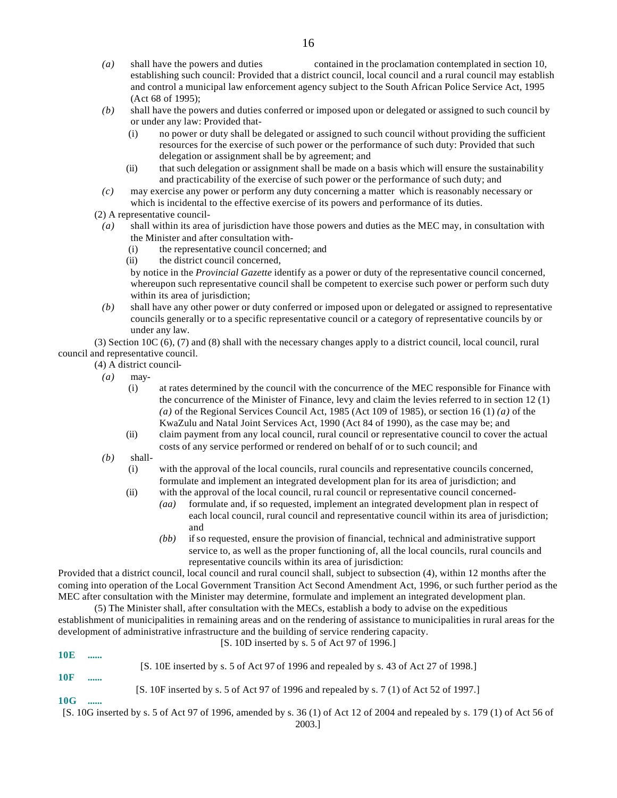- *(a)* shall have the powers and duties contained in the proclamation contemplated in section 10, establishing such council: Provided that a district council, local council and a rural council may establish and control a municipal law enforcement agency subject to the South African Police Service Act, 1995 (Act 68 of 1995);
- *(b)* shall have the powers and duties conferred or imposed upon or delegated or assigned to such council by or under any law: Provided that-
	- (i) no power or duty shall be delegated or assigned to such council without providing the sufficient resources for the exercise of such power or the performance of such duty: Provided that such delegation or assignment shall be by agreement; and
	- (ii) that such delegation or assignment shall be made on a basis which will ensure the sustainability and practicability of the exercise of such power or the performance of such duty; and
- *(c)* may exercise any power or perform any duty concerning a matter which is reasonably necessary or which is incidental to the effective exercise of its powers and performance of its duties.
- (2) A representative council-
- *(a)* shall within its area of jurisdiction have those powers and duties as the MEC may, in consultation with the Minister and after consultation with-
	- (i) the representative council concerned; and
	- (ii) the district council concerned,

by notice in the *Provincial Gazette* identify as a power or duty of the representative council concerned, whereupon such representative council shall be competent to exercise such power or perform such duty within its area of jurisdiction;

*(b)* shall have any other power or duty conferred or imposed upon or delegated or assigned to representative councils generally or to a specific representative council or a category of representative councils by or under any law.

(3) Section 10C (6), (7) and (8) shall with the necessary changes apply to a district council, local council, rural council and representative council.

(4) A district council-

- *(a)* may-
	- (i) at rates determined by the council with the concurrence of the MEC responsible for Finance with the concurrence of the Minister of Finance, levy and claim the levies referred to in section 12 (1) *(a)* of the Regional Services Council Act, 1985 (Act 109 of 1985), or section 16 (1) *(a)* of the KwaZulu and Natal Joint Services Act, 1990 (Act 84 of 1990), as the case may be; and
	- (ii) claim payment from any local council, rural council or representative council to cover the actual costs of any service performed or rendered on behalf of or to such council; and
- *(b)* shall-
	- (i) with the approval of the local councils, rural councils and representative councils concerned, formulate and implement an integrated development plan for its area of jurisdiction; and
	- (ii) with the approval of the local council, ru ral council or representative council concerned-
		- *(aa)* formulate and, if so requested, implement an integrated development plan in respect of each local council, rural council and representative council within its area of jurisdiction; and
			- *(bb)* if so requested, ensure the provision of financial, technical and administrative support service to, as well as the proper functioning of, all the local councils, rural councils and representative councils within its area of jurisdiction:

Provided that a district council, local council and rural council shall, subject to subsection (4), within 12 months after the coming into operation of the Local Government Transition Act Second Amendment Act, 1996, or such further period as the MEC after consultation with the Minister may determine, formulate and implement an integrated development plan.

(5) The Minister shall, after consultation with the MECs, establish a body to advise on the expeditious establishment of municipalities in remaining areas and on the rendering of assistance to municipalities in rural areas for the development of administrative infrastructure and the building of service rendering capacity. [S. 10D inserted by s. 5 of Act 97 of 1996.]

**10E ......** [S. 10E inserted by s. 5 of Act 97 of 1996 and repealed by s. 43 of Act 27 of 1998.] **10F ......** [S. 10F inserted by s. 5 of Act 97 of 1996 and repealed by s. 7 (1) of Act 52 of 1997.] **10G ......** [S. 10G inserted by s. 5 of Act 97 of 1996, amended by s. 36 (1) of Act 12 of 2004 and repealed by s. 179 (1) of Act 56 of

2003.]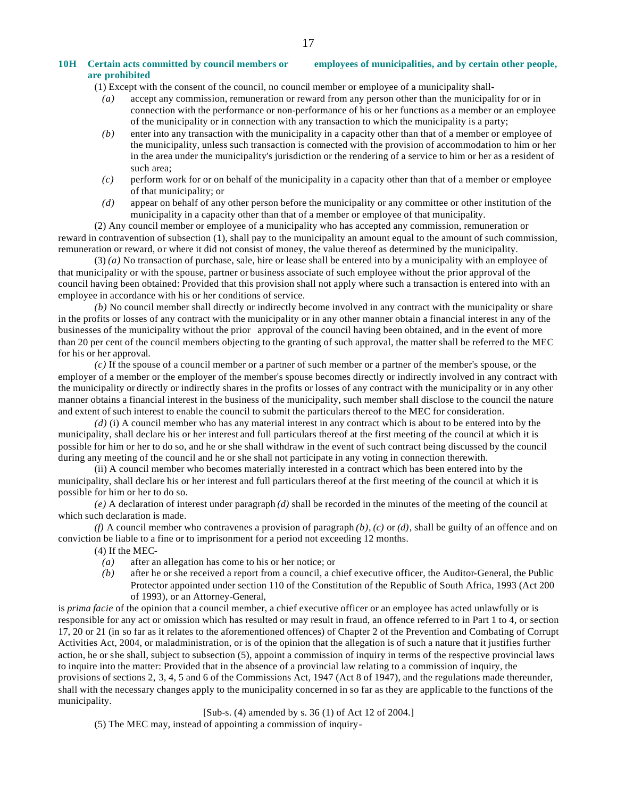#### **10H Certain acts committed by council members or employees of municipalities, and by certain other people, are prohibited**

- (1) Except with the consent of the council, no council member or employee of a municipality shall-
	- *(a)* accept any commission, remuneration or reward from any person other than the municipality for or in connection with the performance or non-performance of his or her functions as a member or an employee of the municipality or in connection with any transaction to which the municipality is a party;
	- *(b)* enter into any transaction with the municipality in a capacity other than that of a member or employee of the municipality, unless such transaction is connected with the provision of accommodation to him or her in the area under the municipality's jurisdiction or the rendering of a service to him or her as a resident of such area;
	- *(c)* perform work for or on behalf of the municipality in a capacity other than that of a member or employee of that municipality; or
	- *(d)* appear on behalf of any other person before the municipality or any committee or other institution of the municipality in a capacity other than that of a member or employee of that municipality.

(2) Any council member or employee of a municipality who has accepted any commission, remuneration or reward in contravention of subsection (1), shall pay to the municipality an amount equal to the amount of such commission, remuneration or reward, or where it did not consist of money, the value thereof as determined by the municipality.

(3) *(a)* No transaction of purchase, sale, hire or lease shall be entered into by a municipality with an employee of that municipality or with the spouse, partner or business associate of such employee without the prior approval of the council having been obtained: Provided that this provision shall not apply where such a transaction is entered into with an employee in accordance with his or her conditions of service.

*(b)* No council member shall directly or indirectly become involved in any contract with the municipality or share in the profits or losses of any contract with the municipality or in any other manner obtain a financial interest in any of the businesses of the municipality without the prior approval of the council having been obtained, and in the event of more than 20 per cent of the council members objecting to the granting of such approval, the matter shall be referred to the MEC for his or her approval.

*(c)* If the spouse of a council member or a partner of such member or a partner of the member's spouse, or the employer of a member or the employer of the member's spouse becomes directly or indirectly involved in any contract with the municipality or directly or indirectly shares in the profits or losses of any contract with the municipality or in any other manner obtains a financial interest in the business of the municipality, such member shall disclose to the council the nature and extent of such interest to enable the council to submit the particulars thereof to the MEC for consideration.

*(d)* (i) A council member who has any material interest in any contract which is about to be entered into by the municipality, shall declare his or her interest and full particulars thereof at the first meeting of the council at which it is possible for him or her to do so, and he or she shall withdraw in the event of such contract being discussed by the council during any meeting of the council and he or she shall not participate in any voting in connection therewith.

(ii) A council member who becomes materially interested in a contract which has been entered into by the municipality, shall declare his or her interest and full particulars thereof at the first meeting of the council at which it is possible for him or her to do so.

*(e)* A declaration of interest under paragraph *(d)* shall be recorded in the minutes of the meeting of the council at which such declaration is made.

*(f)* A council member who contravenes a provision of paragraph *(b)*, *(c)* or *(d)*, shall be guilty of an offence and on conviction be liable to a fine or to imprisonment for a period not exceeding 12 months.

(4) If the MEC-

- *(a)* after an allegation has come to his or her notice; or
- *(b)* after he or she received a report from a council, a chief executive officer, the Auditor-General, the Public Protector appointed under section 110 of the Constitution of the Republic of South Africa, 1993 (Act 200 of 1993), or an Attorney-General,

is *prima facie* of the opinion that a council member, a chief executive officer or an employee has acted unlawfully or is responsible for any act or omission which has resulted or may result in fraud, an offence referred to in Part 1 to 4, or section 17, 20 or 21 (in so far as it relates to the aforementioned offences) of Chapter 2 of the Prevention and Combating of Corrupt Activities Act, 2004, or maladministration, or is of the opinion that the allegation is of such a nature that it justifies further action, he or she shall, subject to subsection (5), appoint a commission of inquiry in terms of the respective provincial laws to inquire into the matter: Provided that in the absence of a provincial law relating to a commission of inquiry, the provisions of sections 2, 3, 4, 5 and 6 of the Commissions Act, 1947 (Act 8 of 1947), and the regulations made thereunder, shall with the necessary changes apply to the municipality concerned in so far as they are applicable to the functions of the municipality.

[Sub-s. (4) amended by s. 36 (1) of Act 12 of 2004.]

(5) The MEC may, instead of appointing a commission of inquiry-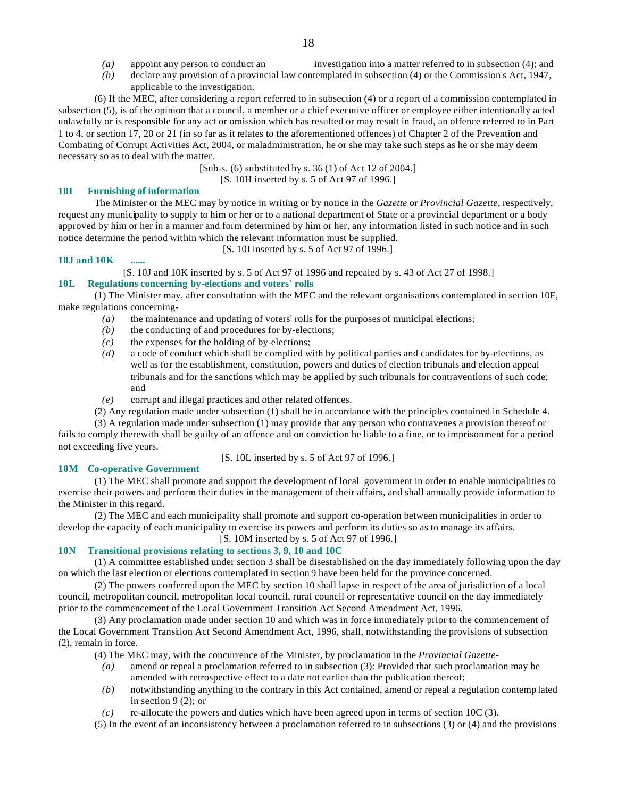- *(a)* appoint any person to conduct an investigation into a matter referred to in subsection (4); and
- *(b)* declare any provision of a provincial law contemplated in subsection (4) or the Commission's Act, 1947, applicable to the investigation.
- (6) If the MEC, after considering a report referred to in subsection (4) or a report of a commission contemplated in subsection (5), is of the opinion that a council, a member or a chief executive officer or employee either intentionally acted unlawfully or is responsible for any act or omission which has resulted or may result in fraud, an offence referred to in Part 1 to 4, or section 17, 20 or 21 (in so far as it relates to the aforementioned offences) of Chapter 2 of the Prevention and Combating of Corrupt Activities Act, 2004, or maladministration, he or she may take such steps as he or she may deem necessary so as to deal with the matter.

[Sub-s. (6) substituted by s. 36 (1) of Act 12 of 2004.]

[S. 10H inserted by s. 5 of Act 97 of 1996.]

#### **10I Furnishing of information**

The Minister or the MEC may by notice in writing or by notice in the *Gazette* or *Provincial Gazette*, respectively, request any municipality to supply to him or her or to a national department of State or a provincial department or a body approved by him or her in a manner and form determined by him or her, any information listed in such notice and in such notice determine the period within which the relevant information must be supplied.

[S. 10I inserted by s. 5 of Act 97 of 1996.]

### **10J and 10K ......**

[S. 10J and 10K inserted by s. 5 of Act 97 of 1996 and repealed by s. 43 of Act 27 of 1998.]

# **10L Regulations concerning by-elections and voters' rolls**

(1) The Minister may, after consultation with the MEC and the relevant organisations contemplated in section 10F, make regulations concerning-

- *(a)* the maintenance and updating of voters' rolls for the purposes of municipal elections;
- *(b)* the conducting of and procedures for by-elections;
- $(c)$  the expenses for the holding of by-elections;
- *(d)* a code of conduct which shall be complied with by political parties and candidates for by-elections, as well as for the establishment, constitution, powers and duties of election tribunals and election appeal tribunals and for the sanctions which may be applied by such tribunals for contraventions of such code; and
- *(e)* corrupt and illegal practices and other related offences.
- (2) Any regulation made under subsection (1) shall be in accordance with the principles contained in Schedule 4.

(3) A regulation made under subsection (1) may provide that any person who contravenes a provision thereof or fails to comply therewith shall be guilty of an offence and on conviction be liable to a fine, or to imprisonment for a period not exceeding five years.

[S. 10L inserted by s. 5 of Act 97 of 1996.]

#### **10M Co-operative Government**

(1) The MEC shall promote and support the development of local government in order to enable municipalities to exercise their powers and perform their duties in the management of their affairs, and shall annually provide information to the Minister in this regard.

(2) The MEC and each municipality shall promote and support co-operation between municipalities in order to develop the capacity of each municipality to exercise its powers and perform its duties so as to manage its affairs.

[S. 10M inserted by s. 5 of Act 97 of 1996.]

#### **10N Transitional provisions relating to sections 3, 9, 10 and 10C**

(1) A committee established under section 3 shall be disestablished on the day immediately following upon the day on which the last election or elections contemplated in section 9 have been held for the province concerned.

(2) The powers conferred upon the MEC by section 10 shall lapse in respect of the area of jurisdiction of a local council, metropolitan council, metropolitan local council, rural council or representative council on the day immediately prior to the commencement of the Local Government Transition Act Second Amendment Act, 1996.

(3) Any proclamation made under section 10 and which was in force immediately prior to the commencement of the Local Government Transition Act Second Amendment Act, 1996, shall, notwithstanding the provisions of subsection (2), remain in force.

(4) The MEC may, with the concurrence of the Minister, by proclamation in the *Provincial Gazette*-

- *(a)* amend or repeal a proclamation referred to in subsection (3): Provided that such proclamation may be amended with retrospective effect to a date not earlier than the publication thereof;
- *(b)* notwithstanding anything to the contrary in this Act contained, amend or repeal a regulation contemp lated in section 9 (2); or
- *(c)* re-allocate the powers and duties which have been agreed upon in terms of section 10C (3).
- (5) In the event of an inconsistency between a proclamation referred to in subsections (3) or (4) and the provisions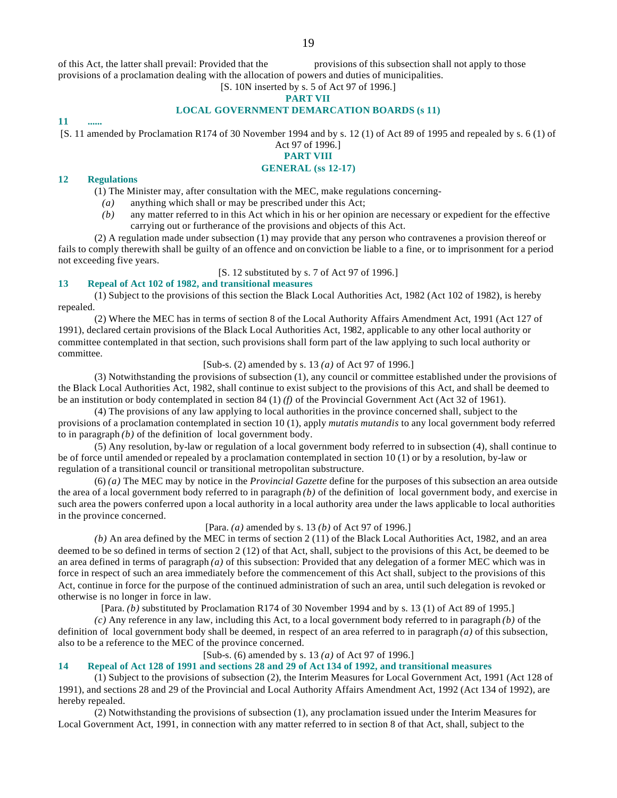of this Act, the latter shall prevail: Provided that the provisions of this subsection shall not apply to those provisions of a proclamation dealing with the allocation of powers and duties of municipalities.

# [S. 10N inserted by s. 5 of Act 97 of 1996.]

# **PART VII**

# **LOCAL GOVERNMENT DEMARCATION BOARDS (s 11)**

#### **11 ......**

[S. 11 amended by Proclamation R174 of 30 November 1994 and by s. 12 (1) of Act 89 of 1995 and repealed by s. 6 (1) of

#### Act 97 of 1996.] **PART VIII**

# **GENERAL (ss 12-17)**

#### **12 Regulations**

(1) The Minister may, after consultation with the MEC, make regulations concerning-

- *(a)* anything which shall or may be prescribed under this Act;
- *(b)* any matter referred to in this Act which in his or her opinion are necessary or expedient for the effective carrying out or furtherance of the provisions and objects of this Act.

(2) A regulation made under subsection (1) may provide that any person who contravenes a provision thereof or fails to comply therewith shall be guilty of an offence and on conviction be liable to a fine, or to imprisonment for a period not exceeding five years.

### [S. 12 substituted by s. 7 of Act 97 of 1996.]

# **13 Repeal of Act 102 of 1982, and transitional measures**

(1) Subject to the provisions of this section the Black Local Authorities Act, 1982 (Act 102 of 1982), is hereby repealed.

(2) Where the MEC has in terms of section 8 of the Local Authority Affairs Amendment Act, 1991 (Act 127 of 1991), declared certain provisions of the Black Local Authorities Act, 1982, applicable to any other local authority or committee contemplated in that section, such provisions shall form part of the law applying to such local authority or committee.

# [Sub-s. (2) amended by s. 13 *(a)* of Act 97 of 1996.]

(3) Notwithstanding the provisions of subsection (1), any council or committee established under the provisions of the Black Local Authorities Act, 1982, shall continue to exist subject to the provisions of this Act, and shall be deemed to be an institution or body contemplated in section 84 (1) *(f)* of the Provincial Government Act (Act 32 of 1961).

(4) The provisions of any law applying to local authorities in the province concerned shall, subject to the provisions of a proclamation contemplated in section 10 (1), apply *mutatis mutandis* to any local government body referred to in paragraph *(b)* of the definition of local government body.

(5) Any resolution, by-law or regulation of a local government body referred to in subsection (4), shall continue to be of force until amended or repealed by a proclamation contemplated in section 10 (1) or by a resolution, by-law or regulation of a transitional council or transitional metropolitan substructure.

(6) *(a)* The MEC may by notice in the *Provincial Gazette* define for the purposes of this subsection an area outside the area of a local government body referred to in paragraph *(b)* of the definition of local government body, and exercise in such area the powers conferred upon a local authority in a local authority area under the laws applicable to local authorities in the province concerned.

### [Para. *(a)* amended by s. 13 *(b)* of Act 97 of 1996.]

*(b)* An area defined by the MEC in terms of section 2 (11) of the Black Local Authorities Act, 1982, and an area deemed to be so defined in terms of section 2 (12) of that Act, shall, subject to the provisions of this Act, be deemed to be an area defined in terms of paragraph *(a)* of this subsection: Provided that any delegation of a former MEC which was in force in respect of such an area immediately before the commencement of this Act shall, subject to the provisions of this Act, continue in force for the purpose of the continued administration of such an area, until such delegation is revoked or otherwise is no longer in force in law.

[Para. *(b)* substituted by Proclamation R174 of 30 November 1994 and by s. 13 (1) of Act 89 of 1995.]

*(c)* Any reference in any law, including this Act, to a local government body referred to in paragraph *(b)* of the definition of local government body shall be deemed, in respect of an area referred to in paragraph *(a)* of this subsection, also to be a reference to the MEC of the province concerned.

# [Sub-s. (6) amended by s. 13 *(a)* of Act 97 of 1996.]

#### **14 Repeal of Act 128 of 1991 and sections 28 and 29 of Act 134 of 1992, and transitional measures**

(1) Subject to the provisions of subsection (2), the Interim Measures for Local Government Act, 1991 (Act 128 of 1991), and sections 28 and 29 of the Provincial and Local Authority Affairs Amendment Act, 1992 (Act 134 of 1992), are hereby repealed.

(2) Notwithstanding the provisions of subsection (1), any proclamation issued under the Interim Measures for Local Government Act, 1991, in connection with any matter referred to in section 8 of that Act, shall, subject to the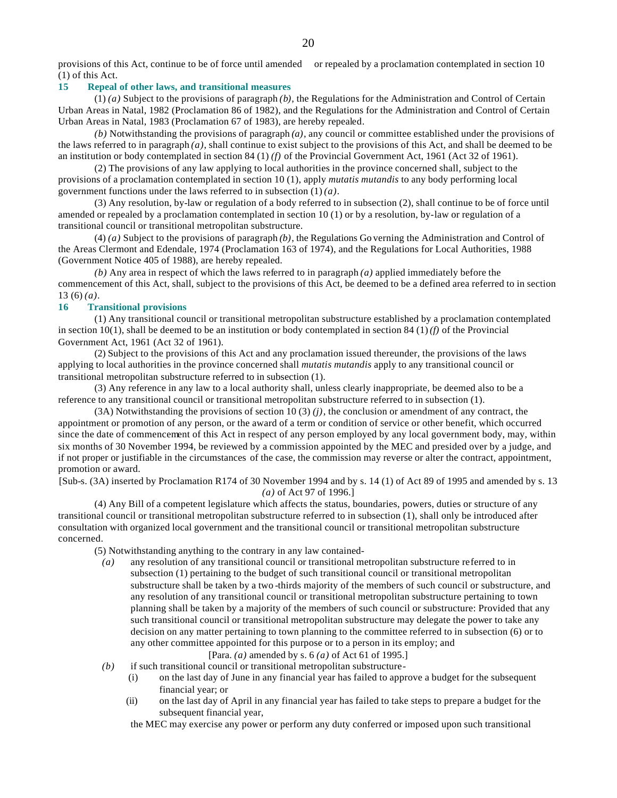provisions of this Act, continue to be of force until amended or repealed by a proclamation contemplated in section 10 (1) of this Act.

#### **15 Repeal of other laws, and transitional measures**

(1) *(a)* Subject to the provisions of paragraph *(b)*, the Regulations for the Administration and Control of Certain Urban Areas in Natal, 1982 (Proclamation 86 of 1982), and the Regulations for the Administration and Control of Certain Urban Areas in Natal, 1983 (Proclamation 67 of 1983), are hereby repealed.

*(b)* Notwithstanding the provisions of paragraph *(a)*, any council or committee established under the provisions of the laws referred to in paragraph *(a)*, shall continue to exist subject to the provisions of this Act, and shall be deemed to be an institution or body contemplated in section 84 (1) *(f)* of the Provincial Government Act, 1961 (Act 32 of 1961).

(2) The provisions of any law applying to local authorities in the province concerned shall, subject to the provisions of a proclamation contemplated in section 10 (1), apply *mutatis mutandis* to any body performing local government functions under the laws referred to in subsection (1) *(a)*.

(3) Any resolution, by-law or regulation of a body referred to in subsection (2), shall continue to be of force until amended or repealed by a proclamation contemplated in section 10 (1) or by a resolution, by-law or regulation of a transitional council or transitional metropolitan substructure.

(4) *(a)* Subject to the provisions of paragraph *(b)*, the Regulations Go verning the Administration and Control of the Areas Clermont and Edendale, 1974 (Proclamation 163 of 1974), and the Regulations for Local Authorities, 1988 (Government Notice 405 of 1988), are hereby repealed.

*(b)* Any area in respect of which the laws referred to in paragraph *(a)* applied immediately before the commencement of this Act, shall, subject to the provisions of this Act, be deemed to be a defined area referred to in section 13 (6) *(a)*.

#### **16 Transitional provisions**

(1) Any transitional council or transitional metropolitan substructure established by a proclamation contemplated in section  $10(1)$ , shall be deemed to be an institution or body contemplated in section 84 (1) *(f)* of the Provincial Government Act, 1961 (Act 32 of 1961).

(2) Subject to the provisions of this Act and any proclamation issued thereunder, the provisions of the laws applying to local authorities in the province concerned shall *mutatis mutandis* apply to any transitional council or transitional metropolitan substructure referred to in subsection (1).

(3) Any reference in any law to a local authority shall, unless clearly inappropriate, be deemed also to be a reference to any transitional council or transitional metropolitan substructure referred to in subsection (1).

(3A) Notwithstanding the provisions of section 10 (3) *(j)*, the conclusion or amendment of any contract, the appointment or promotion of any person, or the award of a term or condition of service or other benefit, which occurred since the date of commencement of this Act in respect of any person employed by any local government body, may, within six months of 30 November 1994, be reviewed by a commission appointed by the MEC and presided over by a judge, and if not proper or justifiable in the circumstances of the case, the commission may reverse or alter the contract, appointment, promotion or award.

[Sub-s. (3A) inserted by Proclamation R174 of 30 November 1994 and by s. 14 (1) of Act 89 of 1995 and amended by s. 13 *(a)* of Act 97 of 1996.]

(4) Any Bill of a competent legislature which affects the status, boundaries, powers, duties or structure of any transitional council or transitional metropolitan substructure referred to in subsection (1), shall only be introduced after consultation with organized local government and the transitional council or transitional metropolitan substructure concerned.

(5) Notwithstanding anything to the contrary in any law contained-

*(a)* any resolution of any transitional council or transitional metropolitan substructure referred to in subsection (1) pertaining to the budget of such transitional council or transitional metropolitan substructure shall be taken by a two -thirds majority of the members of such council or substructure, and any resolution of any transitional council or transitional metropolitan substructure pertaining to town planning shall be taken by a majority of the members of such council or substructure: Provided that any such transitional council or transitional metropolitan substructure may delegate the power to take any decision on any matter pertaining to town planning to the committee referred to in subsection (6) or to any other committee appointed for this purpose or to a person in its employ; and

[Para. *(a)* amended by s. 6 *(a)* of Act 61 of 1995.]

- *(b)* if such transitional council or transitional metropolitan substructure-
	- (i) on the last day of June in any financial year has failed to approve a budget for the subsequent financial year; or
	- (ii) on the last day of April in any financial year has failed to take steps to prepare a budget for the subsequent financial year,

the MEC may exercise any power or perform any duty conferred or imposed upon such transitional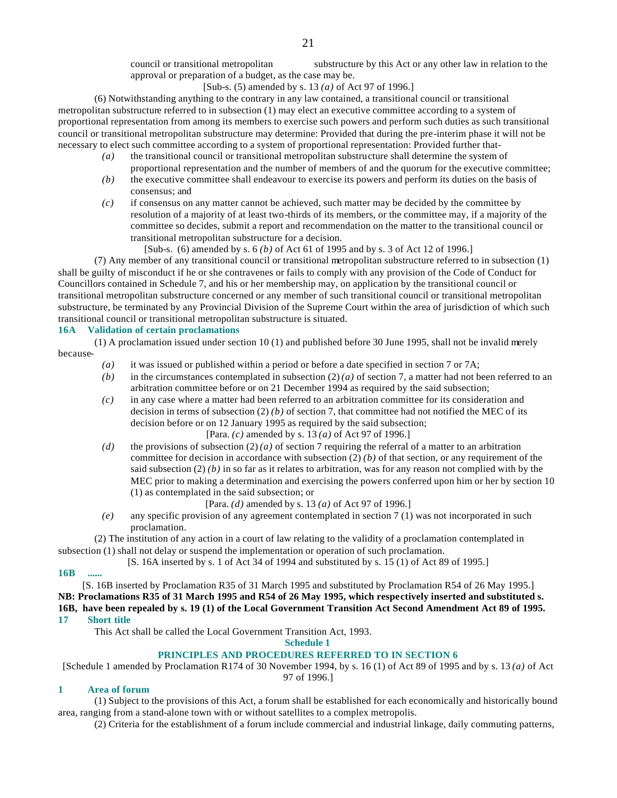council or transitional metropolitan substructure by this Act or any other law in relation to the approval or preparation of a budget, as the case may be.

[Sub-s. (5) amended by s. 13 *(a)* of Act 97 of 1996.]

(6) Notwithstanding anything to the contrary in any law contained, a transitional council or transitional metropolitan substructure referred to in subsection (1) may elect an executive committee according to a system of proportional representation from among its members to exercise such powers and perform such duties as such transitional council or transitional metropolitan substructure may determine: Provided that during the pre-interim phase it will not be necessary to elect such committee according to a system of proportional representation: Provided further that-

- *(a)* the transitional council or transitional metropolitan substructure shall determine the system of proportional representation and the number of members of and the quorum for the executive committee;
- *(b)* the executive committee shall endeavour to exercise its powers and perform its duties on the basis of consensus; and
- *(c)* if consensus on any matter cannot be achieved, such matter may be decided by the committee by resolution of a majority of at least two-thirds of its members, or the committee may, if a majority of the committee so decides, submit a report and recommendation on the matter to the transitional council or transitional metropolitan substructure for a decision.
	- [Sub-s. (6) amended by s. 6 *(b)* of Act 61 of 1995 and by s. 3 of Act 12 of 1996.]

(7) Any member of any transitional council or transitional metropolitan substructure referred to in subsection (1) shall be guilty of misconduct if he or she contravenes or fails to comply with any provision of the Code of Conduct for Councillors contained in Schedule 7, and his or her membership may, on application by the transitional council or transitional metropolitan substructure concerned or any member of such transitional council or transitional metropolitan substructure, be terminated by any Provincial Division of the Supreme Court within the area of jurisdiction of which such transitional council or transitional metropolitan substructure is situated.

### **16A Validation of certain proclamations**

(1) A proclamation issued under section 10 (1) and published before 30 June 1995, shall not be invalid merely because-

- *(a)* it was issued or published within a period or before a date specified in section 7 or 7A;
- *(b)* in the circumstances contemplated in subsection (2) *(a)* of section 7, a matter had not been referred to an arbitration committee before or on 21 December 1994 as required by the said subsection;
- *(c)* in any case where a matter had been referred to an arbitration committee for its consideration and decision in terms of subsection  $(2)$  *(b)* of section 7, that committee had not notified the MEC of its decision before or on 12 January 1995 as required by the said subsection;
	- [Para. *(c)* amended by s. 13 *(a)* of Act 97 of 1996.]
- *(d)* the provisions of subsection (2) *(a)* of section 7 requiring the referral of a matter to an arbitration committee for decision in accordance with subsection  $(2)$  *(b)* of that section, or any requirement of the said subsection  $(2)$  *(b)* in so far as it relates to arbitration, was for any reason not complied with by the MEC prior to making a determination and exercising the powers conferred upon him or her by section 10 (1) as contemplated in the said subsection; or

#### [Para. *(d)* amended by s. 13 *(a)* of Act 97 of 1996.]

*(e)* any specific provision of any agreement contemplated in section 7 (1) was not incorporated in such proclamation.

(2) The institution of any action in a court of law relating to the validity of a proclamation contemplated in subsection (1) shall not delay or suspend the implementation or operation of such proclamation.

[S. 16A inserted by s. 1 of Act 34 of 1994 and substituted by s. 15 (1) of Act 89 of 1995.]

#### **16B ......**

[S. 16B inserted by Proclamation R35 of 31 March 1995 and substituted by Proclamation R54 of 26 May 1995.] **NB: Proclamations R35 of 31 March 1995 and R54 of 26 May 1995, which respectively inserted and substituted s. 16B, have been repealed by s. 19 (1) of the Local Government Transition Act Second Amendment Act 89 of 1995. 17 Short title**

This Act shall be called the Local Government Transition Act, 1993.

**Schedule 1**

# **PRINCIPLES AND PROCEDURES REFERRED TO IN SECTION 6**

[Schedule 1 amended by Proclamation R174 of 30 November 1994, by s. 16 (1) of Act 89 of 1995 and by s. 13 *(a)* of Act 97 of 1996.]

# **1 Area of forum**

(1) Subject to the provisions of this Act, a forum shall be established for each economically and historically bound area, ranging from a stand-alone town with or without satellites to a complex metropolis.

(2) Criteria for the establishment of a forum include commercial and industrial linkage, daily commuting patterns,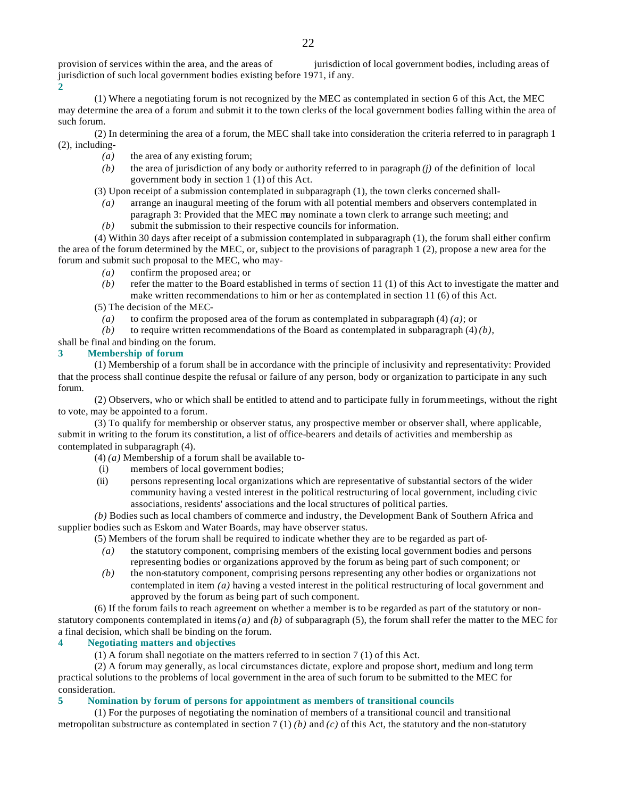provision of services within the area, and the areas of jurisdiction of local government bodies, including areas of jurisdiction of such local government bodies existing before 1971, if any.

**2**

(1) Where a negotiating forum is not recognized by the MEC as contemplated in section 6 of this Act, the MEC may determine the area of a forum and submit it to the town clerks of the local government bodies falling within the area of such forum.

(2) In determining the area of a forum, the MEC shall take into consideration the criteria referred to in paragraph 1 (2), including-

- *(a)* the area of any existing forum;
- *(b)* the area of jurisdiction of any body or authority referred to in paragraph *(j)* of the definition of local government body in section 1 (1) of this Act.
- (3) Upon receipt of a submission contemplated in subparagraph (1), the town clerks concerned shall-
	- *(a)* arrange an inaugural meeting of the forum with all potential members and observers contemplated in paragraph 3: Provided that the MEC may nominate a town clerk to arrange such meeting; and
	- *(b)* submit the submission to their respective councils for information.

(4) Within 30 days after receipt of a submission contemplated in subparagraph (1), the forum shall either confirm the area of the forum determined by the MEC, or, subject to the provisions of paragraph 1 (2), propose a new area for the forum and submit such proposal to the MEC, who may-

- *(a)* confirm the proposed area; or
- *(b)* refer the matter to the Board established in terms of section 11 (1) of this Act to investigate the matter and make written recommendations to him or her as contemplated in section 11 (6) of this Act.
- (5) The decision of the MEC-
	- *(a)* to confirm the proposed area of the forum as contemplated in subparagraph (4) *(a)*; or
- *(b)* to require written recommendations of the Board as contemplated in subparagraph (4) *(b)*,

shall be final and binding on the forum.

### **3 Membership of forum**

(1) Membership of a forum shall be in accordance with the principle of inclusivity and representativity: Provided that the process shall continue despite the refusal or failure of any person, body or organization to participate in any such forum.

(2) Observers, who or which shall be entitled to attend and to participate fully in forum meetings, without the right to vote, may be appointed to a forum.

(3) To qualify for membership or observer status, any prospective member or observer shall, where applicable, submit in writing to the forum its constitution, a list of office-bearers and details of activities and membership as contemplated in subparagraph (4).

- (4) *(a)* Membership of a forum shall be available to-
- (i) members of local government bodies;
- (ii) persons representing local organizations which are representative of substantial sectors of the wider community having a vested interest in the political restructuring of local government, including civic associations, residents' associations and the local structures of political parties.

*(b)* Bodies such as local chambers of commerce and industry, the Development Bank of Southern Africa and supplier bodies such as Eskom and Water Boards, may have observer status.

(5) Members of the forum shall be required to indicate whether they are to be regarded as part of-

- *(a)* the statutory component, comprising members of the existing local government bodies and persons representing bodies or organizations approved by the forum as being part of such component; or
- *(b)* the non-statutory component, comprising persons representing any other bodies or organizations not contemplated in item *(a)* having a vested interest in the political restructuring of local government and approved by the forum as being part of such component.

(6) If the forum fails to reach agreement on whether a member is to be regarded as part of the statutory or nonstatutory components contemplated in items  $(a)$  and  $(b)$  of subparagraph (5), the forum shall refer the matter to the MEC for a final decision, which shall be binding on the forum.

# **4 Negotiating matters and objectives**

(1) A forum shall negotiate on the matters referred to in section 7 (1) of this Act.

(2) A forum may generally, as local circumstances dictate, explore and propose short, medium and long term practical solutions to the problems of local government in the area of such forum to be submitted to the MEC for consideration.

# **5 Nomination by forum of persons for appointment as members of transitional councils**

(1) For the purposes of negotiating the nomination of members of a transitional council and transitional metropolitan substructure as contemplated in section 7 (1) *(b)* and *(c)* of this Act, the statutory and the non-statutory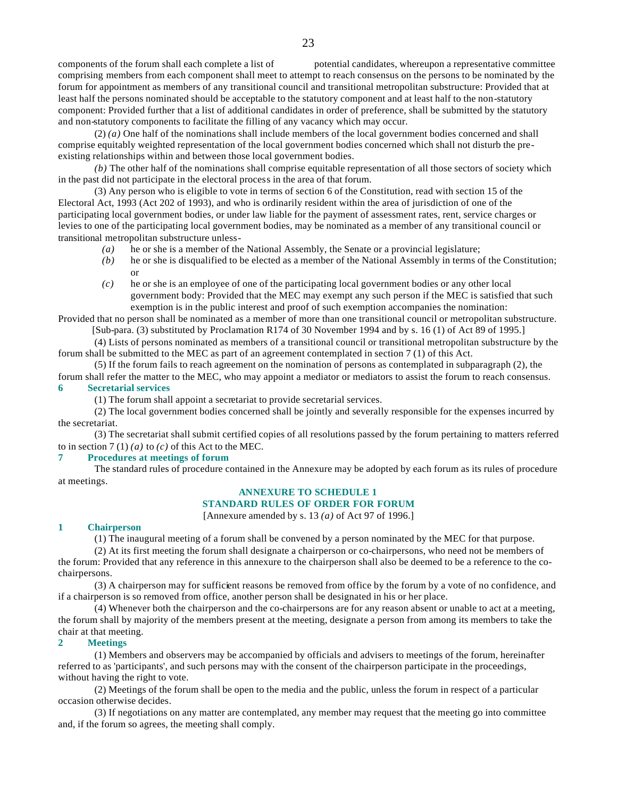components of the forum shall each complete a list of potential candidates, whereupon a representative committee comprising members from each component shall meet to attempt to reach consensus on the persons to be nominated by the forum for appointment as members of any transitional council and transitional metropolitan substructure: Provided that at least half the persons nominated should be acceptable to the statutory component and at least half to the non-statutory component: Provided further that a list of additional candidates in order of preference, shall be submitted by the statutory and non-statutory components to facilitate the filling of any vacancy which may occur.

(2) *(a)* One half of the nominations shall include members of the local government bodies concerned and shall comprise equitably weighted representation of the local government bodies concerned which shall not disturb the preexisting relationships within and between those local government bodies.

*(b)* The other half of the nominations shall comprise equitable representation of all those sectors of society which in the past did not participate in the electoral process in the area of that forum.

(3) Any person who is eligible to vote in terms of section 6 of the Constitution, read with section 15 of the Electoral Act, 1993 (Act 202 of 1993), and who is ordinarily resident within the area of jurisdiction of one of the participating local government bodies, or under law liable for the payment of assessment rates, rent, service charges or levies to one of the participating local government bodies, may be nominated as a member of any transitional council or transitional metropolitan substructure unless-

- *(a)* he or she is a member of the National Assembly, the Senate or a provincial legislature;
- *(b)* he or she is disqualified to be elected as a member of the National Assembly in terms of the Constitution; or
- *(c)* he or she is an employee of one of the participating local government bodies or any other local government body: Provided that the MEC may exempt any such person if the MEC is satisfied that such exemption is in the public interest and proof of such exemption accompanies the nomination:

Provided that no person shall be nominated as a member of more than one transitional council or metropolitan substructure. [Sub-para. (3) substituted by Proclamation R174 of 30 November 1994 and by s. 16 (1) of Act 89 of 1995.]

(4) Lists of persons nominated as members of a transitional council or transitional metropolitan substructure by the forum shall be submitted to the MEC as part of an agreement contemplated in section 7 (1) of this Act.

(5) If the forum fails to reach agreement on the nomination of persons as contemplated in subparagraph (2), the forum shall refer the matter to the MEC, who may appoint a mediator or mediators to assist the forum to reach consensus.

### **6 Secretarial services**

(1) The forum shall appoint a secretariat to provide secretarial services.

(2) The local government bodies concerned shall be jointly and severally responsible for the expenses incurred by the secretariat.

(3) The secretariat shall submit certified copies of all resolutions passed by the forum pertaining to matters referred to in section  $7(1)(a)$  to  $(c)$  of this Act to the MEC.

#### **7 Procedures at meetings of forum**

The standard rules of procedure contained in the Annexure may be adopted by each forum as its rules of procedure at meetings.

#### **ANNEXURE TO SCHEDULE 1 STANDARD RULES OF ORDER FOR FORUM**

[Annexure amended by s. 13 *(a)* of Act 97 of 1996.]

#### **1 Chairperson**

(1) The inaugural meeting of a forum shall be convened by a person nominated by the MEC for that purpose.

(2) At its first meeting the forum shall designate a chairperson or co-chairpersons, who need not be members of the forum: Provided that any reference in this annexure to the chairperson shall also be deemed to be a reference to the cochairpersons.

(3) A chairperson may for sufficient reasons be removed from office by the forum by a vote of no confidence, and if a chairperson is so removed from office, another person shall be designated in his or her place.

(4) Whenever both the chairperson and the co-chairpersons are for any reason absent or unable to act at a meeting, the forum shall by majority of the members present at the meeting, designate a person from among its members to take the chair at that meeting.

### **2 Meetings**

(1) Members and observers may be accompanied by officials and advisers to meetings of the forum, hereinafter referred to as 'participants', and such persons may with the consent of the chairperson participate in the proceedings, without having the right to vote.

(2) Meetings of the forum shall be open to the media and the public, unless the forum in respect of a particular occasion otherwise decides.

(3) If negotiations on any matter are contemplated, any member may request that the meeting go into committee and, if the forum so agrees, the meeting shall comply.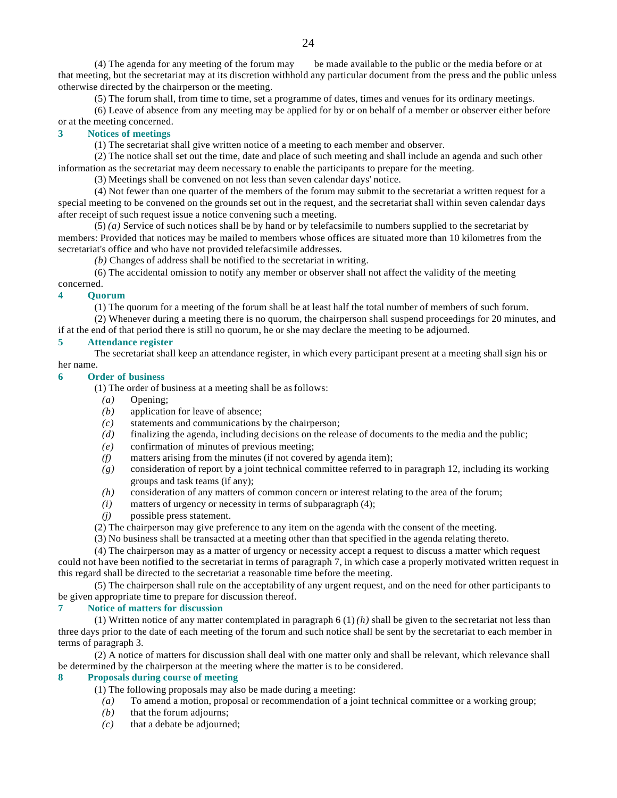(4) The agenda for any meeting of the forum may be made available to the public or the media before or at that meeting, but the secretariat may at its discretion withhold any particular document from the press and the public unless otherwise directed by the chairperson or the meeting.

(5) The forum shall, from time to time, set a programme of dates, times and venues for its ordinary meetings.

(6) Leave of absence from any meeting may be applied for by or on behalf of a member or observer either before or at the meeting concerned.

#### **3 Notices of meetings**

(1) The secretariat shall give written notice of a meeting to each member and observer.

(2) The notice shall set out the time, date and place of such meeting and shall include an agenda and such other information as the secretariat may deem necessary to enable the participants to prepare for the meeting.

(3) Meetings shall be convened on not less than seven calendar days' notice.

(4) Not fewer than one quarter of the members of the forum may submit to the secretariat a written request for a special meeting to be convened on the grounds set out in the request, and the secretariat shall within seven calendar days after receipt of such request issue a notice convening such a meeting.

(5) *(a)* Service of such notices shall be by hand or by telefacsimile to numbers supplied to the secretariat by members: Provided that notices may be mailed to members whose offices are situated more than 10 kilometres from the secretariat's office and who have not provided telefacsimile addresses.

*(b)* Changes of address shall be notified to the secretariat in writing.

(6) The accidental omission to notify any member or observer shall not affect the validity of the meeting

### concerned.

#### **4 Quorum**

(1) The quorum for a meeting of the forum shall be at least half the total number of members of such forum.

(2) Whenever during a meeting there is no quorum, the chairperson shall suspend proceedings for 20 minutes, and if at the end of that period there is still no quorum, he or she may declare the meeting to be adjourned.

#### **5 Attendance register**

The secretariat shall keep an attendance register, in which every participant present at a meeting shall sign his or her name.

#### **6 Order of business**

(1) The order of business at a meeting shall be as follows:

- *(a)* Opening;
- *(b)* application for leave of absence;
- *(c)* statements and communications by the chairperson;
- *(d)* finalizing the agenda, including decisions on the release of documents to the media and the public;
- *(e)* confirmation of minutes of previous meeting;
- *(f)* matters arising from the minutes (if not covered by agenda item);
- *(g)* consideration of report by a joint technical committee referred to in paragraph 12, including its working groups and task teams (if any);
- *(h)* consideration of any matters of common concern or interest relating to the area of the forum;
- *(i)* matters of urgency or necessity in terms of subparagraph (4);
- *(j)* possible press statement.
- (2) The chairperson may give preference to any item on the agenda with the consent of the meeting.
- (3) No business shall be transacted at a meeting other than that specified in the agenda relating thereto.

(4) The chairperson may as a matter of urgency or necessity accept a request to discuss a matter which request could not have been notified to the secretariat in terms of paragraph 7, in which case a properly motivated written request in this regard shall be directed to the secretariat a reasonable time before the meeting.

(5) The chairperson shall rule on the acceptability of any urgent request, and on the need for other participants to be given appropriate time to prepare for discussion thereof.

#### **7 Notice of matters for discussion**

(1) Written notice of any matter contemplated in paragraph  $6(1)$  *(h)* shall be given to the secretariat not less than three days prior to the date of each meeting of the forum and such notice shall be sent by the secretariat to each member in terms of paragraph 3.

(2) A notice of matters for discussion shall deal with one matter only and shall be relevant, which relevance shall be determined by the chairperson at the meeting where the matter is to be considered.

#### **8 Proposals during course of meeting**

(1) The following proposals may also be made during a meeting:

- *(a)* To amend a motion, proposal or recommendation of a joint technical committee or a working group;
- *(b)* that the forum adjourns;
- *(c)* that a debate be adjourned;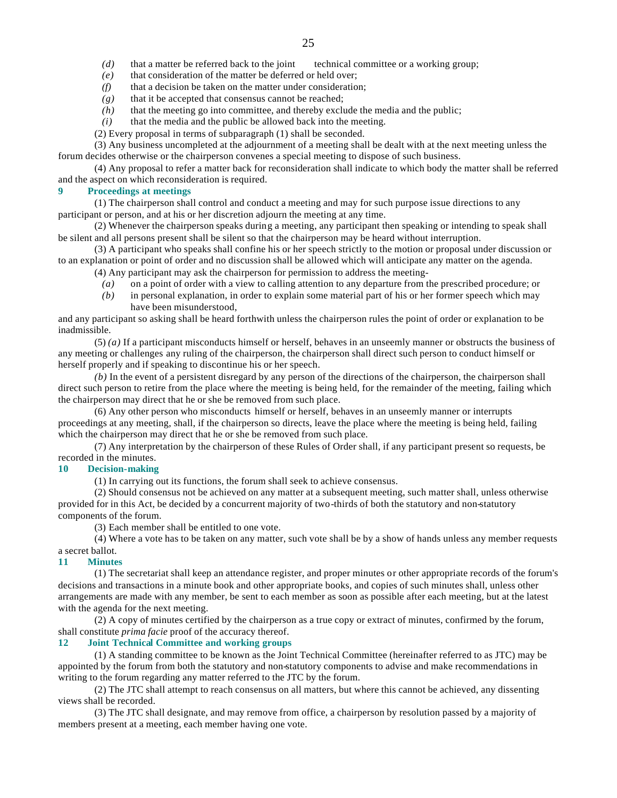- *(d)* that a matter be referred back to the joint technical committee or a working group;
- *(e)* that consideration of the matter be deferred or held over;
- *(f)* that a decision be taken on the matter under consideration;
- *(g)* that it be accepted that consensus cannot be reached;
- *(h)* that the meeting go into committee, and thereby exclude the media and the public;
- *(i)* that the media and the public be allowed back into the meeting.
- (2) Every proposal in terms of subparagraph (1) shall be seconded.

(3) Any business uncompleted at the adjournment of a meeting shall be dealt with at the next meeting unless the forum decides otherwise or the chairperson convenes a special meeting to dispose of such business.

(4) Any proposal to refer a matter back for reconsideration shall indicate to which body the matter shall be referred and the aspect on which reconsideration is required.

#### **9 Proceedings at meetings**

(1) The chairperson shall control and conduct a meeting and may for such purpose issue directions to any participant or person, and at his or her discretion adjourn the meeting at any time.

(2) Whenever the chairperson speaks during a meeting, any participant then speaking or intending to speak shall be silent and all persons present shall be silent so that the chairperson may be heard without interruption.

(3) A participant who speaks shall confine his or her speech strictly to the motion or proposal under discussion or to an explanation or point of order and no discussion shall be allowed which will anticipate any matter on the agenda.

(4) Any participant may ask the chairperson for permission to address the meeting-

- *(a)* on a point of order with a view to calling attention to any departure from the prescribed procedure; or
- *(b)* in personal explanation, in order to explain some material part of his or her former speech which may have been misunderstood,

and any participant so asking shall be heard forthwith unless the chairperson rules the point of order or explanation to be inadmissible.

(5) *(a)* If a participant misconducts himself or herself, behaves in an unseemly manner or obstructs the business of any meeting or challenges any ruling of the chairperson, the chairperson shall direct such person to conduct himself or herself properly and if speaking to discontinue his or her speech.

*(b)* In the event of a persistent disregard by any person of the directions of the chairperson, the chairperson shall direct such person to retire from the place where the meeting is being held, for the remainder of the meeting, failing which the chairperson may direct that he or she be removed from such place.

(6) Any other person who misconducts himself or herself, behaves in an unseemly manner or interrupts proceedings at any meeting, shall, if the chairperson so directs, leave the place where the meeting is being held, failing which the chairperson may direct that he or she be removed from such place.

(7) Any interpretation by the chairperson of these Rules of Order shall, if any participant present so requests, be recorded in the minutes.

#### **10 Decision-making**

(1) In carrying out its functions, the forum shall seek to achieve consensus.

(2) Should consensus not be achieved on any matter at a subsequent meeting, such matter shall, unless otherwise provided for in this Act, be decided by a concurrent majority of two-thirds of both the statutory and non-statutory components of the forum.

(3) Each member shall be entitled to one vote.

(4) Where a vote has to be taken on any matter, such vote shall be by a show of hands unless any member requests a secret ballot.

#### **11 Minutes**

(1) The secretariat shall keep an attendance register, and proper minutes or other appropriate records of the forum's decisions and transactions in a minute book and other appropriate books, and copies of such minutes shall, unless other arrangements are made with any member, be sent to each member as soon as possible after each meeting, but at the latest with the agenda for the next meeting.

(2) A copy of minutes certified by the chairperson as a true copy or extract of minutes, confirmed by the forum, shall constitute *prima facie* proof of the accuracy thereof.

# **12 Joint Technical Committee and working groups**

(1) A standing committee to be known as the Joint Technical Committee (hereinafter referred to as JTC) may be appointed by the forum from both the statutory and non-statutory components to advise and make recommendations in writing to the forum regarding any matter referred to the JTC by the forum.

(2) The JTC shall attempt to reach consensus on all matters, but where this cannot be achieved, any dissenting views shall be recorded.

(3) The JTC shall designate, and may remove from office, a chairperson by resolution passed by a majority of members present at a meeting, each member having one vote.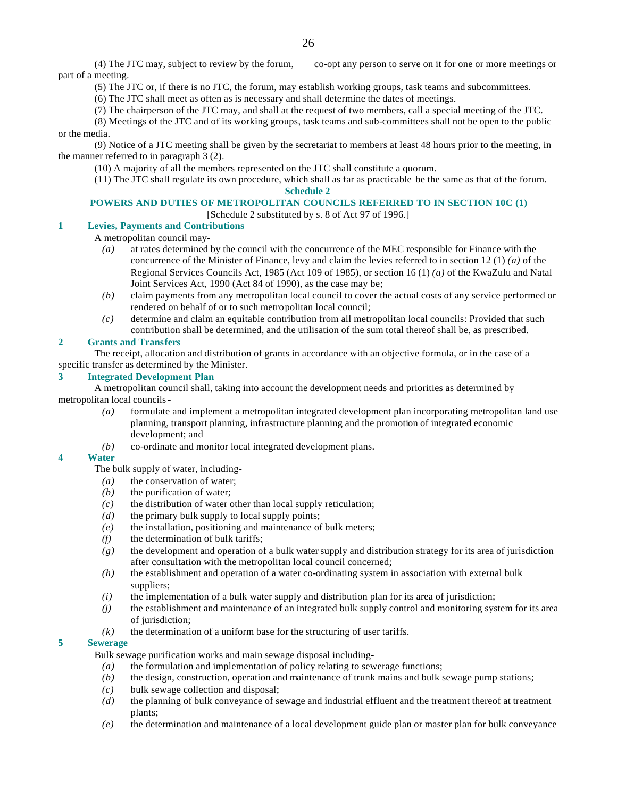(4) The JTC may, subject to review by the forum, co-opt any person to serve on it for one or more meetings or part of a meeting.

(5) The JTC or, if there is no JTC, the forum, may establish working groups, task teams and subcommittees.

(6) The JTC shall meet as often as is necessary and shall determine the dates of meetings.

(7) The chairperson of the JTC may, and shall at the request of two members, call a special meeting of the JTC.

(8) Meetings of the JTC and of its working groups, task teams and sub-committees shall not be open to the public or the media.

(9) Notice of a JTC meeting shall be given by the secretariat to members at least 48 hours prior to the meeting, in the manner referred to in paragraph 3 (2).

(10) A majority of all the members represented on the JTC shall constitute a quorum.

(11) The JTC shall regulate its own procedure, which shall as far as practicable be the same as that of the forum. **Schedule 2**

# **POWERS AND DUTIES OF METROPOLITAN COUNCILS REFERRED TO IN SECTION 10C (1)**

[Schedule 2 substituted by s. 8 of Act 97 of 1996.]

# **1 Levies, Payments and Contributions**

A metropolitan council may-

- *(a)* at rates determined by the council with the concurrence of the MEC responsible for Finance with the concurrence of the Minister of Finance, levy and claim the levies referred to in section 12 (1) *(a)* of the Regional Services Councils Act, 1985 (Act 109 of 1985), or section 16 (1) *(a)* of the KwaZulu and Natal Joint Services Act, 1990 (Act 84 of 1990), as the case may be;
- *(b)* claim payments from any metropolitan local council to cover the actual costs of any service performed or rendered on behalf of or to such metropolitan local council;
- *(c)* determine and claim an equitable contribution from all metropolitan local councils: Provided that such contribution shall be determined, and the utilisation of the sum total thereof shall be, as prescribed.

### **2 Grants and Transfers**

The receipt, allocation and distribution of grants in accordance with an objective formula, or in the case of a specific transfer as determined by the Minister.

# **3 Integrated Development Plan**

A metropolitan council shall, taking into account the development needs and priorities as determined by metropolitan local councils-

- *(a)* formulate and implement a metropolitan integrated development plan incorporating metropolitan land use planning, transport planning, infrastructure planning and the promotion of integrated economic development; and
- *(b)* co-ordinate and monitor local integrated development plans.

#### **4 Water**

The bulk supply of water, including-

- *(a)* the conservation of water;
- *(b)* the purification of water;
- *(c)* the distribution of water other than local supply reticulation;
- *(d)* the primary bulk supply to local supply points;
- *(e)* the installation, positioning and maintenance of bulk meters;
- *(f)* the determination of bulk tariffs;
- *(g)* the development and operation of a bulk water supply and distribution strategy for its area of jurisdiction after consultation with the metropolitan local council concerned;
- *(h)* the establishment and operation of a water co-ordinating system in association with external bulk suppliers;
- *(i)* the implementation of a bulk water supply and distribution plan for its area of jurisdiction;
- *(j)* the establishment and maintenance of an integrated bulk supply control and monitoring system for its area of jurisdiction;
- *(k)* the determination of a uniform base for the structuring of user tariffs.

# **5 Sewerage**

Bulk sewage purification works and main sewage disposal including-

- *(a)* the formulation and implementation of policy relating to sewerage functions;
- *(b)* the design, construction, operation and maintenance of trunk mains and bulk sewage pump stations;
- *(c)* bulk sewage collection and disposal;
- *(d)* the planning of bulk conveyance of sewage and industrial effluent and the treatment thereof at treatment plants;
- *(e)* the determination and maintenance of a local development guide plan or master plan for bulk conveyance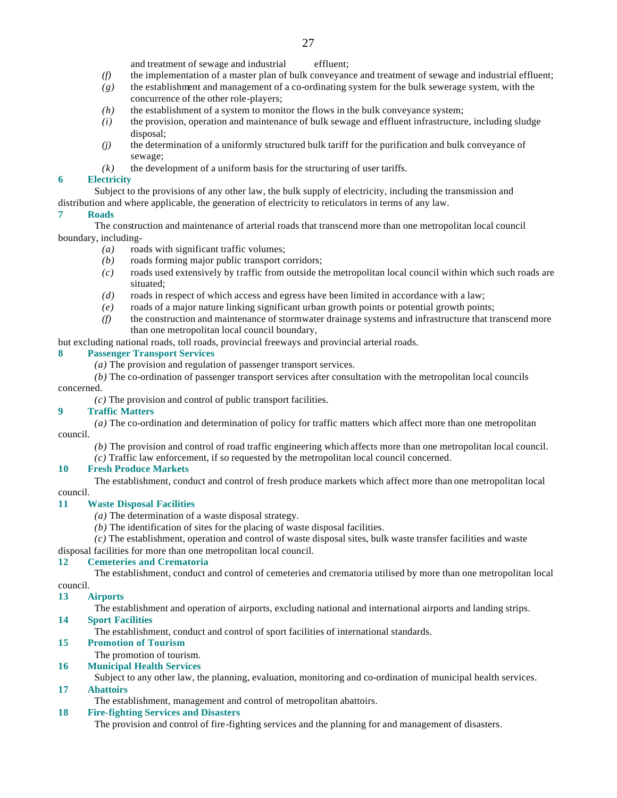and treatment of sewage and industrial effluent;

- *(f)* the implementation of a master plan of bulk conveyance and treatment of sewage and industrial effluent;
- *(g)* the establishment and management of a co-ordinating system for the bulk sewerage system, with the concurrence of the other role-players;
- *(h)* the establishment of a system to monitor the flows in the bulk conveyance system;
- *(i)* the provision, operation and maintenance of bulk sewage and effluent infrastructure, including sludge disposal;
- *(j)* the determination of a uniformly structured bulk tariff for the purification and bulk conveyance of sewage;
- $(k)$  the development of a uniform basis for the structuring of user tariffs.

# **6 Electricity**

Subject to the provisions of any other law, the bulk supply of electricity, including the transmission and distribution and where applicable, the generation of electricity to reticulators in terms of any law.

# **7 Roads**

The construction and maintenance of arterial roads that transcend more than one metropolitan local council boundary, including-

- *(a)* roads with significant traffic volumes;
- *(b)* roads forming major public transport corridors;
- *(c)* roads used extensively by traffic from outside the metropolitan local council within which such roads are situated;
- *(d)* roads in respect of which access and egress have been limited in accordance with a law;
- *(e)* roads of a major nature linking significant urban growth points or potential growth points;
- *(f)* the construction and maintenance of stormwater drainage systems and infrastructure that transcend more than one metropolitan local council boundary,

but excluding national roads, toll roads, provincial freeways and provincial arterial roads.

# **8 Passenger Transport Services**

- *(a)* The provision and regulation of passenger transport services.
- *(b)* The co-ordination of passenger transport services after consultation with the metropolitan local councils

# concerned.

*(c)* The provision and control of public transport facilities.

# **9 Traffic Matters**

*(a)* The co-ordination and determination of policy for traffic matters which affect more than one metropolitan council.

- *(b)* The provision and control of road traffic engineering which affects more than one metropolitan local council.
- *(c)* Traffic law enforcement, if so requested by the metropolitan local council concerned.

# **10 Fresh Produce Markets**

The establishment, conduct and control of fresh produce markets which affect more than one metropolitan local

# council.

# **11 Waste Disposal Facilities**

- *(a)* The determination of a waste disposal strategy.
- *(b)* The identification of sites for the placing of waste disposal facilities.

*(c)* The establishment, operation and control of waste disposal sites, bulk waste transfer facilities and waste

# disposal facilities for more than one metropolitan local council.

# **12 Cemeteries and Crematoria**

The establishment, conduct and control of cemeteries and crematoria utilised by more than one metropolitan local council.

# **13 Airports**

The establishment and operation of airports, excluding national and international airports and landing strips.

# **14 Sport Facilities**

The establishment, conduct and control of sport facilities of international standards.

# **15 Promotion of Tourism**

The promotion of tourism.

# **16 Municipal Health Services**

Subject to any other law, the planning, evaluation, monitoring and co-ordination of municipal health services.

# **17 Abattoirs**

The establishment, management and control of metropolitan abattoirs.

# **18 Fire-fighting Services and Disasters**

The provision and control of fire-fighting services and the planning for and management of disasters.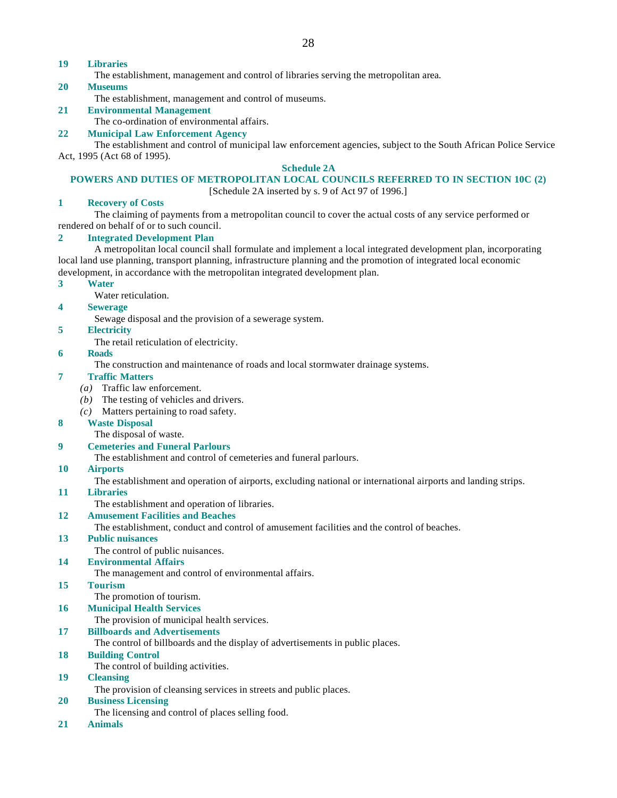# **19 Libraries**

The establishment, management and control of libraries serving the metropolitan area.

#### **20 Museums**

The establishment, management and control of museums.

# **21 Environmental Management**

The co-ordination of environmental affairs.

# **22 Municipal Law Enforcement Agency**

The establishment and control of municipal law enforcement agencies, subject to the South African Police Service Act, 1995 (Act 68 of 1995).

### **Schedule 2A**

### **POWERS AND DUTIES OF METROPOLITAN LOCAL COUNCILS REFERRED TO IN SECTION 10C (2)**

[Schedule 2A inserted by s. 9 of Act 97 of 1996.]

### **1 Recovery of Costs**

The claiming of payments from a metropolitan council to cover the actual costs of any service performed or rendered on behalf of or to such council.

### **2 Integrated Development Plan**

A metropolitan local council shall formulate and implement a local integrated development plan, incorporating local land use planning, transport planning, infrastructure planning and the promotion of integrated local economic development, in accordance with the metropolitan integrated development plan.

#### **3 Water**

Water reticulation.

### **4 Sewerage**

Sewage disposal and the provision of a sewerage system.

### **5 Electricity**

The retail reticulation of electricity.

#### **6 Roads**

The construction and maintenance of roads and local stormwater drainage systems.

### **7 Traffic Matters**

- *(a)* Traffic law enforcement.
- *(b)* The testing of vehicles and drivers.
- *(c)* Matters pertaining to road safety.

# **8 Waste Disposal**

The disposal of waste.

#### **9 Cemeteries and Funeral Parlours**

The establishment and control of cemeteries and funeral parlours.

# **10 Airports**

The establishment and operation of airports, excluding national or international airports and landing strips.

# **11 Libraries**

The establishment and operation of libraries.

# **12 Amusement Facilities and Beaches**

The establishment, conduct and control of amusement facilities and the control of beaches.

# **13 Public nuisances**

The control of public nuisances.

# **14 Environmental Affairs**

The management and control of environmental affairs.

# **15 Tourism**

The promotion of tourism.

# **16 Municipal Health Services**

The provision of municipal health services.

# **17 Billboards and Advertisements**

The control of billboards and the display of advertisements in public places.

# **18 Building Control**

The control of building activities.

# **19 Cleansing**

The provision of cleansing services in streets and public places.

# **20 Business Licensing**

- The licensing and control of places selling food.
- **21 Animals**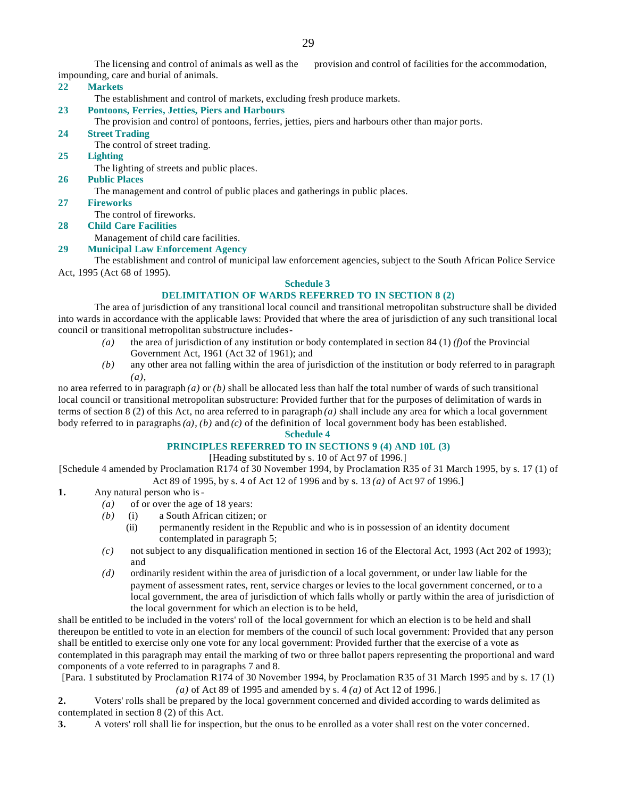The licensing and control of animals as well as the provision and control of facilities for the accommodation, impounding, care and burial of animals.

### **22 Markets**

The establishment and control of markets, excluding fresh produce markets.

### **23 Pontoons, Ferries, Jetties, Piers and Harbours**

The provision and control of pontoons, ferries, jetties, piers and harbours other than major ports.

- **24 Street Trading**
	- The control of street trading.
- **25 Lighting**

The lighting of streets and public places.

# **26 Public Places**

The management and control of public places and gatherings in public places.

**27 Fireworks**

The control of fireworks.

**28 Child Care Facilities**

Management of child care facilities.

# **29 Municipal Law Enforcement Agency**

The establishment and control of municipal law enforcement agencies, subject to the South African Police Service Act, 1995 (Act 68 of 1995).

# **Schedule 3**

### **DELIMITATION OF WARDS REFERRED TO IN SECTION 8 (2)**

The area of jurisdiction of any transitional local council and transitional metropolitan substructure shall be divided into wards in accordance with the applicable laws: Provided that where the area of jurisdiction of any such transitional local council or transitional metropolitan substructure includes-

- *(a)* the area of jurisdiction of any institution or body contemplated in section 84 (1) *(f)*of the Provincial Government Act, 1961 (Act 32 of 1961); and
- *(b)* any other area not falling within the area of jurisdiction of the institution or body referred to in paragraph *(a)*,

no area referred to in paragraph *(a)* or *(b)* shall be allocated less than half the total number of wards of such transitional local council or transitional metropolitan substructure: Provided further that for the purposes of delimitation of wards in terms of section 8 (2) of this Act, no area referred to in paragraph *(a)* shall include any area for which a local government body referred to in paragraphs *(a)*, *(b)* and *(c)* of the definition of local government body has been established.

# **Schedule 4**

# **PRINCIPLES REFERRED TO IN SECTIONS 9 (4) AND 10L (3)**

[Heading substituted by s. 10 of Act 97 of 1996.]

[Schedule 4 amended by Proclamation R174 of 30 November 1994, by Proclamation R35 of 31 March 1995, by s. 17 (1) of Act 89 of 1995, by s. 4 of Act 12 of 1996 and by s. 13 *(a)* of Act 97 of 1996.]

- **1.** Any natural person who is-
	- *(a)* of or over the age of 18 years:
	- *(b)* (i) a South African citizen; or
		- (ii) permanently resident in the Republic and who is in possession of an identity document contemplated in paragraph 5;
	- *(c)* not subject to any disqualification mentioned in section 16 of the Electoral Act, 1993 (Act 202 of 1993); and
	- *(d)* ordinarily resident within the area of jurisdiction of a local government, or under law liable for the payment of assessment rates, rent, service charges or levies to the local government concerned, or to a local government, the area of jurisdiction of which falls wholly or partly within the area of jurisdiction of the local government for which an election is to be held,

shall be entitled to be included in the voters' roll of the local government for which an election is to be held and shall thereupon be entitled to vote in an election for members of the council of such local government: Provided that any person shall be entitled to exercise only one vote for any local government: Provided further that the exercise of a vote as contemplated in this paragraph may entail the marking of two or three ballot papers representing the proportional and ward components of a vote referred to in paragraphs 7 and 8.

[Para. 1 substituted by Proclamation R174 of 30 November 1994, by Proclamation R35 of 31 March 1995 and by s. 17 (1) *(a)* of Act 89 of 1995 and amended by s. 4 *(a)* of Act 12 of 1996.]

**2.** Voters' rolls shall be prepared by the local government concerned and divided according to wards delimited as contemplated in section 8 (2) of this Act.

**3.** A voters' roll shall lie for inspection, but the onus to be enrolled as a voter shall rest on the voter concerned.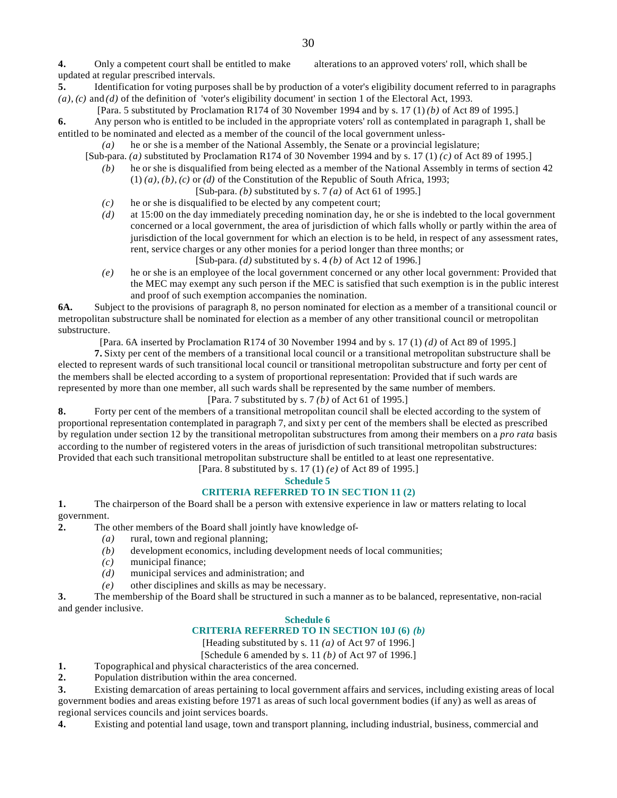**4.** Only a competent court shall be entitled to make alterations to an approved voters' roll, which shall be updated at regular prescribed intervals.

- **5.** Identification for voting purposes shall be by production of a voter's eligibility document referred to in paragraphs *(a)*, *(c)* and *(d)* of the definition of 'voter's eligibility document' in section 1 of the Electoral Act, 1993.
- [Para. 5 substituted by Proclamation R174 of 30 November 1994 and by s. 17 (1) *(b)* of Act 89 of 1995.]

**6.** Any person who is entitled to be included in the appropriate voters' roll as contemplated in paragraph 1, shall be entitled to be nominated and elected as a member of the council of the local government unless-

*(a)* he or she is a member of the National Assembly, the Senate or a provincial legislature;

[Sub-para. *(a)* substituted by Proclamation R174 of 30 November 1994 and by s. 17 (1) *(c)* of Act 89 of 1995.]

- *(b)* he or she is disqualified from being elected as a member of the National Assembly in terms of section 42  $(1)$   $(a)$ ,  $(b)$ ,  $(c)$  or  $(d)$  of the Constitution of the Republic of South Africa, 1993;
	- [Sub-para. *(b)* substituted by s. 7 *(a)* of Act 61 of 1995.]
- *(c)* he or she is disqualified to be elected by any competent court;
- *(d)* at 15:00 on the day immediately preceding nomination day, he or she is indebted to the local government concerned or a local government, the area of jurisdiction of which falls wholly or partly within the area of jurisdiction of the local government for which an election is to be held, in respect of any assessment rates, rent, service charges or any other monies for a period longer than three months; or

[Sub-para. *(d)* substituted by s. 4 *(b)* of Act 12 of 1996.]

*(e)* he or she is an employee of the local government concerned or any other local government: Provided that the MEC may exempt any such person if the MEC is satisfied that such exemption is in the public interest and proof of such exemption accompanies the nomination.

**6A.** Subject to the provisions of paragraph 8, no person nominated for election as a member of a transitional council or metropolitan substructure shall be nominated for election as a member of any other transitional council or metropolitan substructure.

[Para. 6A inserted by Proclamation R174 of 30 November 1994 and by s. 17 (1) *(d)* of Act 89 of 1995.]

**7.** Sixty per cent of the members of a transitional local council or a transitional metropolitan substructure shall be elected to represent wards of such transitional local council or transitional metropolitan substructure and forty per cent of the members shall be elected according to a system of proportional representation: Provided that if such wards are represented by more than one member, all such wards shall be represented by the same number of members.

[Para. 7 substituted by s. 7 *(b)* of Act 61 of 1995.]

**8.** Forty per cent of the members of a transitional metropolitan council shall be elected according to the system of proportional representation contemplated in paragraph 7, and sixt y per cent of the members shall be elected as prescribed by regulation under section 12 by the transitional metropolitan substructures from among their members on a *pro rata* basis according to the number of registered voters in the areas of jurisdiction of such transitional metropolitan substructures: Provided that each such transitional metropolitan substructure shall be entitled to at least one representative.

[Para. 8 substituted by s. 17 (1) *(e)* of Act 89 of 1995.]

# **Schedule 5**

# **CRITERIA REFERRED TO IN SEC TION 11 (2)**

**1.** The chairperson of the Board shall be a person with extensive experience in law or matters relating to local government.

**2.** The other members of the Board shall jointly have knowledge of-

- *(a)* rural, town and regional planning;
- *(b)* development economics, including development needs of local communities;
- *(c)* municipal finance;
- *(d)* municipal services and administration; and
- *(e)* other disciplines and skills as may be necessary.

**3.** The membership of the Board shall be structured in such a manner as to be balanced, representative, non-racial and gender inclusive.

# **Schedule 6**

# **CRITERIA REFERRED TO IN SECTION 10J (6)** *(b)*

[Heading substituted by s. 11 *(a)* of Act 97 of 1996.]

[Schedule 6 amended by s. 11 *(b)* of Act 97 of 1996.]

- **1.** Topographical and physical characteristics of the area concerned.
- **2.** Population distribution within the area concerned.

**3.** Existing demarcation of areas pertaining to local government affairs and services, including existing areas of local government bodies and areas existing before 1971 as areas of such local government bodies (if any) as well as areas of regional services councils and joint services boards.

**4.** Existing and potential land usage, town and transport planning, including industrial, business, commercial and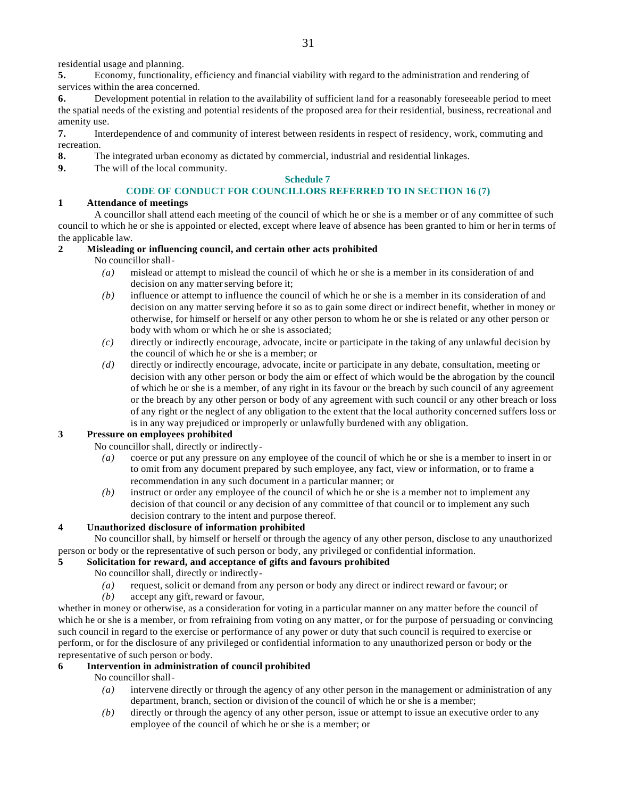residential usage and planning.

**5.** Economy, functionality, efficiency and financial viability with regard to the administration and rendering of services within the area concerned.

**6.** Development potential in relation to the availability of sufficient land for a reasonably foreseeable period to meet the spatial needs of the existing and potential residents of the proposed area for their residential, business, recreational and amenity use.

**7.** Interdependence of and community of interest between residents in respect of residency, work, commuting and recreation.

- **8.** The integrated urban economy as dictated by commercial, industrial and residential linkages.
- **9.** The will of the local community.

# **Schedule 7**

# **CODE OF CONDUCT FOR COUNCILLORS REFERRED TO IN SECTION 16 (7)**

# **1 Attendance of meetings**

A councillor shall attend each meeting of the council of which he or she is a member or of any committee of such council to which he or she is appointed or elected, except where leave of absence has been granted to him or her in terms of the applicable law.

# **2 Misleading or influencing council, and certain other acts prohibited**

No councillor shall-

- *(a)* mislead or attempt to mislead the council of which he or she is a member in its consideration of and decision on any matter serving before it;
- *(b)* influence or attempt to influence the council of which he or she is a member in its consideration of and decision on any matter serving before it so as to gain some direct or indirect benefit, whether in money or otherwise, for himself or herself or any other person to whom he or she is related or any other person or body with whom or which he or she is associated;
- *(c)* directly or indirectly encourage, advocate, incite or participate in the taking of any unlawful decision by the council of which he or she is a member; or
- *(d)* directly or indirectly encourage, advocate, incite or participate in any debate, consultation, meeting or decision with any other person or body the aim or effect of which would be the abrogation by the council of which he or she is a member, of any right in its favour or the breach by such council of any agreement or the breach by any other person or body of any agreement with such council or any other breach or loss of any right or the neglect of any obligation to the extent that the local authority concerned suffers loss or is in any way prejudiced or improperly or unlawfully burdened with any obligation.

# **3 Pressure on employees prohibited**

No councillor shall, directly or indirectly-

- *(a)* coerce or put any pressure on any employee of the council of which he or she is a member to insert in or to omit from any document prepared by such employee, any fact, view or information, or to frame a recommendation in any such document in a particular manner; or
- *(b)* instruct or order any employee of the council of which he or she is a member not to implement any decision of that council or any decision of any committee of that council or to implement any such decision contrary to the intent and purpose thereof.

# **4 Unauthorized disclosure of information prohibited**

No councillor shall, by himself or herself or through the agency of any other person, disclose to any unauthorized person or body or the representative of such person or body, any privileged or confidential information.

# **5 Solicitation for reward, and acceptance of gifts and favours prohibited**

- No councillor shall, directly or indirectly-
- *(a)* request, solicit or demand from any person or body any direct or indirect reward or favour; or
- *(b)* accept any gift, reward or favour,

whether in money or otherwise, as a consideration for voting in a particular manner on any matter before the council of which he or she is a member, or from refraining from voting on any matter, or for the purpose of persuading or convincing such council in regard to the exercise or performance of any power or duty that such council is required to exercise or perform, or for the disclosure of any privileged or confidential information to any unauthorized person or body or the representative of such person or body.

# **6 Intervention in administration of council prohibited**

No councillor shall-

- *(a)* intervene directly or through the agency of any other person in the management or administration of any department, branch, section or division of the council of which he or she is a member;
- *(b)* directly or through the agency of any other person, issue or attempt to issue an executive order to any employee of the council of which he or she is a member; or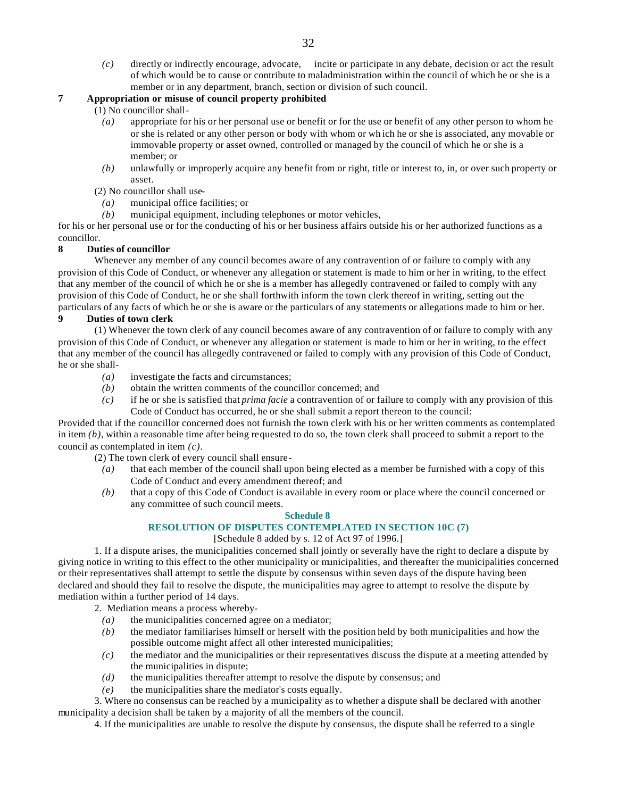*(c)* directly or indirectly encourage, advocate, incite or participate in any debate, decision or act the result of which would be to cause or contribute to maladministration within the council of which he or she is a member or in any department, branch, section or division of such council.

# **7 Appropriation or misuse of council property prohibited**

- (1) No councillor shall-
	- *(a)* appropriate for his or her personal use or benefit or for the use or benefit of any other person to whom he or she is related or any other person or body with whom or wh ich he or she is associated, any movable or immovable property or asset owned, controlled or managed by the council of which he or she is a member; or
	- *(b)* unlawfully or improperly acquire any benefit from or right, title or interest to, in, or over such property or asset.
- (2) No councillor shall use-
- *(a)* municipal office facilities; or
- *(b)* municipal equipment, including telephones or motor vehicles,

for his or her personal use or for the conducting of his or her business affairs outside his or her authorized functions as a councillor.

### **8 Duties of councillor**

Whenever any member of any council becomes aware of any contravention of or failure to comply with any provision of this Code of Conduct, or whenever any allegation or statement is made to him or her in writing, to the effect that any member of the council of which he or she is a member has allegedly contravened or failed to comply with any provision of this Code of Conduct, he or she shall forthwith inform the town clerk thereof in writing, setting out the particulars of any facts of which he or she is aware or the particulars of any statements or allegations made to him or her.

### **9 Duties of town clerk**

(1) Whenever the town clerk of any council becomes aware of any contravention of or failure to comply with any provision of this Code of Conduct, or whenever any allegation or statement is made to him or her in writing, to the effect that any member of the council has allegedly contravened or failed to comply with any provision of this Code of Conduct, he or she shall-

- *(a)* investigate the facts and circumstances;
- *(b)* obtain the written comments of the councillor concerned; and
- *(c)* if he or she is satisfied that *prima facie* a contravention of or failure to comply with any provision of this Code of Conduct has occurred, he or she shall submit a report thereon to the council:

Provided that if the councillor concerned does not furnish the town clerk with his or her written comments as contemplated in item  $(b)$ , within a reasonable time after being requested to do so, the town clerk shall proceed to submit a report to the council as contemplated in item *(c)*.

(2) The town clerk of every council shall ensure-

- *(a)* that each member of the council shall upon being elected as a member be furnished with a copy of this Code of Conduct and every amendment thereof; and
- *(b)* that a copy of this Code of Conduct is available in every room or place where the council concerned or any committee of such council meets.

### **Schedule 8**

# **RESOLUTION OF DISPUTES CONTEMPLATED IN SECTION 10C (7)**

# [Schedule 8 added by s. 12 of Act 97 of 1996.]

1. If a dispute arises, the municipalities concerned shall jointly or severally have the right to declare a dispute by giving notice in writing to this effect to the other municipality or municipalities, and thereafter the municipalities concerned or their representatives shall attempt to settle the dispute by consensus within seven days of the dispute having been declared and should they fail to resolve the dispute, the municipalities may agree to attempt to resolve the dispute by mediation within a further period of 14 days.

2. Mediation means a process whereby-

- *(a)* the municipalities concerned agree on a mediator;
- *(b)* the mediator familiarises himself or herself with the position held by both municipalities and how the possible outcome might affect all other interested municipalities;
- *(c)* the mediator and the municipalities or their representatives discuss the dispute at a meeting attended by the municipalities in dispute;
- *(d)* the municipalities thereafter attempt to resolve the dispute by consensus; and
- *(e)* the municipalities share the mediator's costs equally.

3. Where no consensus can be reached by a municipality as to whether a dispute shall be declared with another municipality a decision shall be taken by a majority of all the members of the council.

4. If the municipalities are unable to resolve the dispute by consensus, the dispute shall be referred to a single